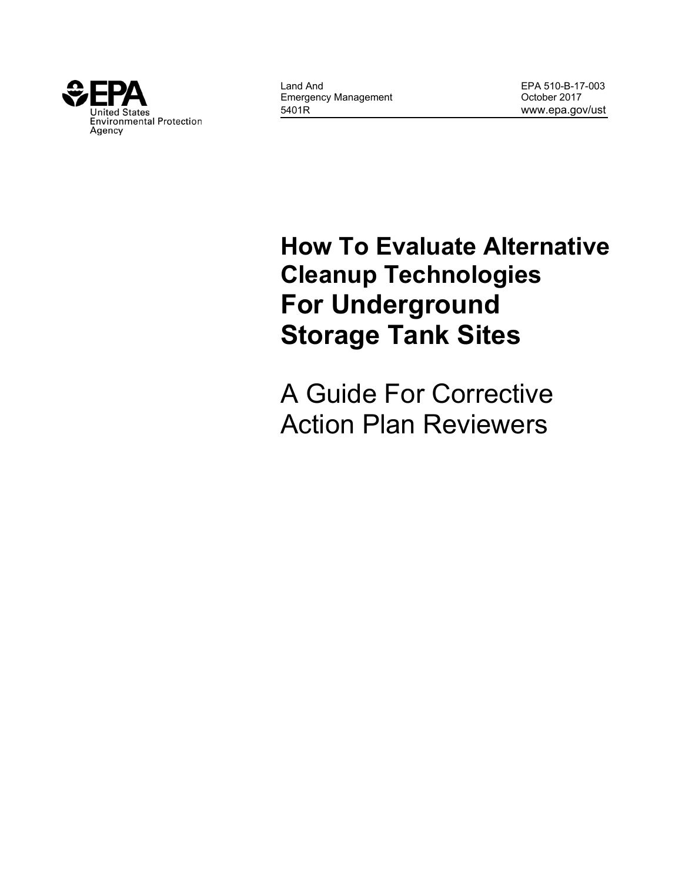

Emergency Management 5401R www.epa.gov/ust

# **How To Evaluate Alternative Cleanup Technologies For Underground Storage Tank Sites**

A Guide For Corrective Action Plan Reviewers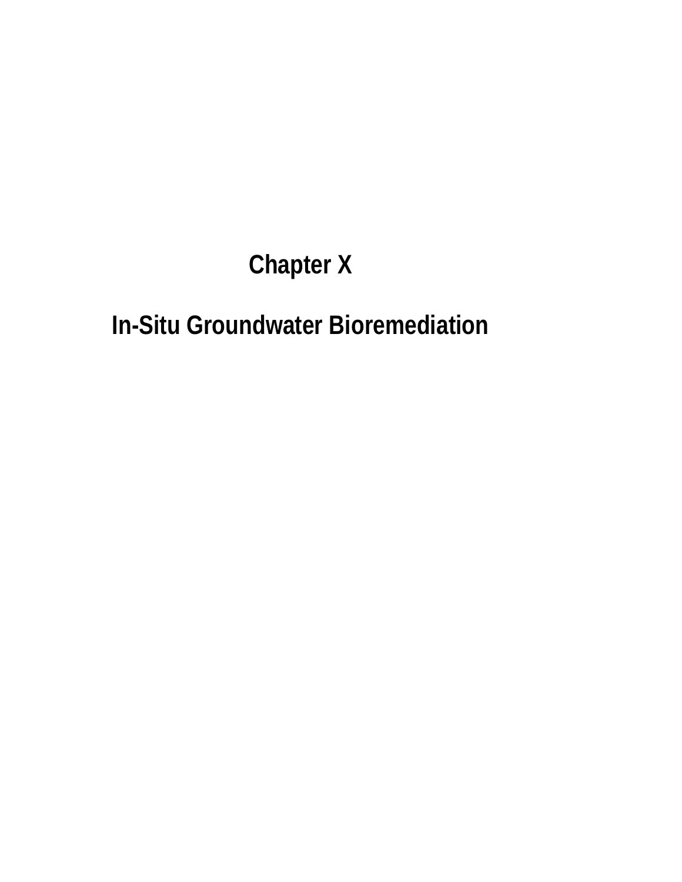# **Chapter X**

# **In-Situ Groundwater Bioremediation**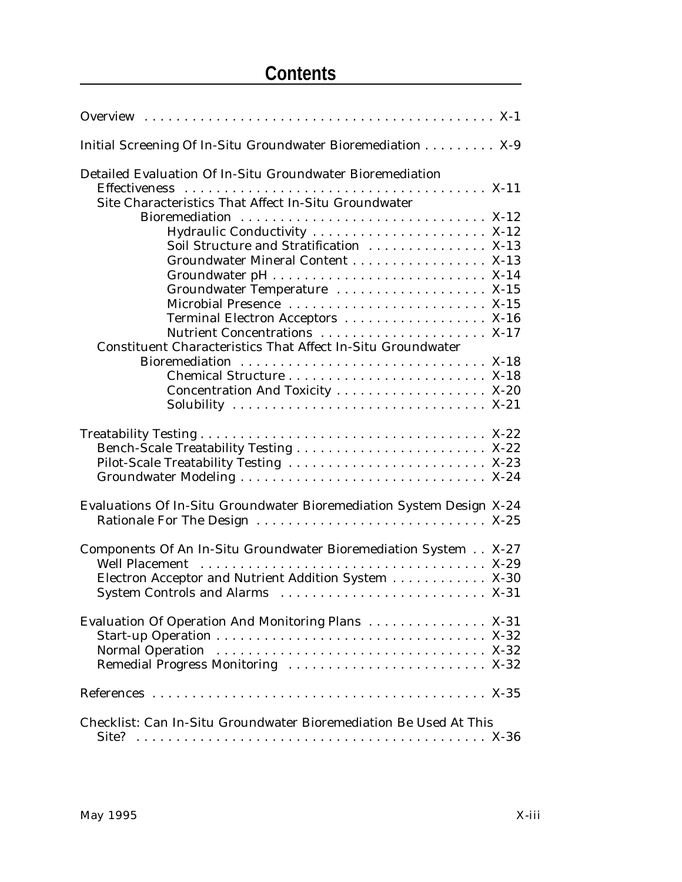## **Contents**

| Detailed Evaluation Of In-Situ Groundwater Bioremediation            |
|----------------------------------------------------------------------|
| Site Characteristics That Affect In-Situ Groundwater                 |
|                                                                      |
| Hydraulic Conductivity  X-12                                         |
| Soil Structure and Stratification  X-13                              |
| Groundwater Mineral Content X-13                                     |
|                                                                      |
| Groundwater Temperature  X-15                                        |
| Microbial Presence  X-15                                             |
| Terminal Electron Acceptors  X-16                                    |
| Nutrient Concentrations  X-17                                        |
| <b>Constituent Characteristics That Affect In-Situ Groundwater</b>   |
|                                                                      |
|                                                                      |
|                                                                      |
|                                                                      |
|                                                                      |
|                                                                      |
| Pilot-Scale Treatability Testing  X-23                               |
|                                                                      |
| Evaluations Of In-Situ Groundwater Bioremediation System Design X-24 |
|                                                                      |
|                                                                      |
| Components Of An In-Situ Groundwater Bioremediation System X-27      |
| <b>Well Placement</b>                                                |
| Electron Acceptor and Nutrient Addition System X-30                  |
| System Controls and Alarms  X-31                                     |
|                                                                      |
| Evaluation Of Operation And Monitoring Plans  X-31                   |
|                                                                      |
|                                                                      |
| Remedial Progress Monitoring  X-32                                   |
|                                                                      |
| Checklist: Can In-Situ Groundwater Bioremediation Be Used At This    |
|                                                                      |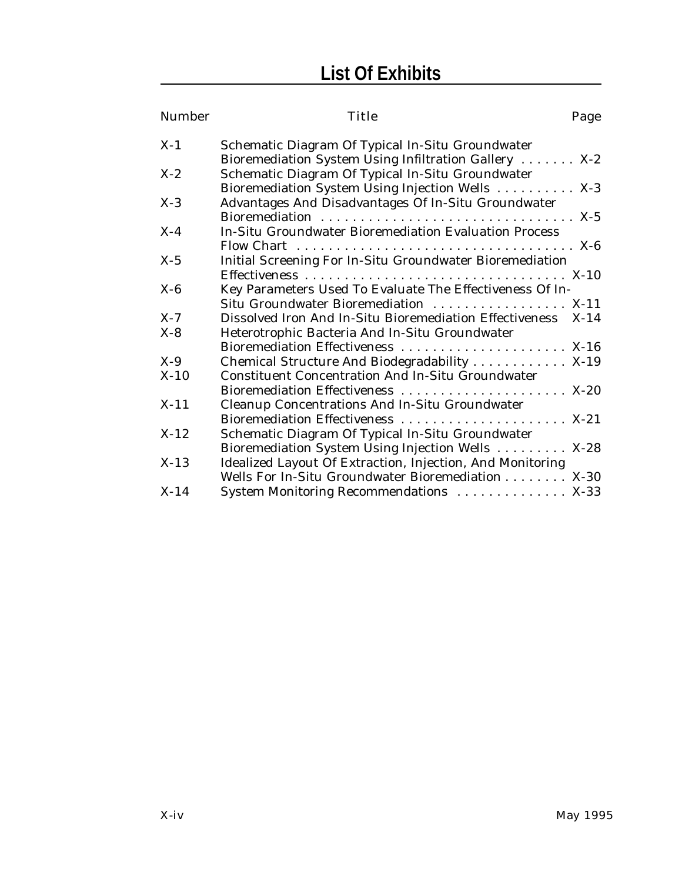## **List Of Exhibits**

| <b>Number</b> | <b>Title</b><br>Page                                                                                      |
|---------------|-----------------------------------------------------------------------------------------------------------|
| $X-1$         | Schematic Diagram Of Typical In-Situ Groundwater                                                          |
| $X-2$         | Bioremediation System Using Infiltration Gallery  X-2<br>Schematic Diagram Of Typical In-Situ Groundwater |
|               | Bioremediation System Using Injection Wells X-3                                                           |
| $X-3$         | Advantages And Disadvantages Of In-Situ Groundwater                                                       |
|               |                                                                                                           |
| $X-4$         | <b>In-Situ Groundwater Bioremediation Evaluation Process</b>                                              |
|               |                                                                                                           |
| $X-5$         | <b>Initial Screening For In-Situ Groundwater Bioremediation</b>                                           |
| $X-6$         | Key Parameters Used To Evaluate The Effectiveness Of In-                                                  |
|               |                                                                                                           |
| $X-7$         | Dissolved Iron And In-Situ Bioremediation Effectiveness<br>$X-14$                                         |
| $X-8$         | Heterotrophic Bacteria And In-Situ Groundwater                                                            |
|               |                                                                                                           |
| $X-9$         |                                                                                                           |
| $X-10$        | <b>Constituent Concentration And In-Situ Groundwater</b>                                                  |
|               |                                                                                                           |
| $X-11$        | <b>Cleanup Concentrations And In-Situ Groundwater</b>                                                     |
| $X-12$        | Schematic Diagram Of Typical In-Situ Groundwater                                                          |
|               | Bioremediation System Using Injection Wells X-28                                                          |
| $X-13$        | Idealized Layout Of Extraction, Injection, And Monitoring                                                 |
|               | Wells For In-Situ Groundwater Bioremediation X-30                                                         |
| $X-14$        | System Monitoring Recommendations  X-33                                                                   |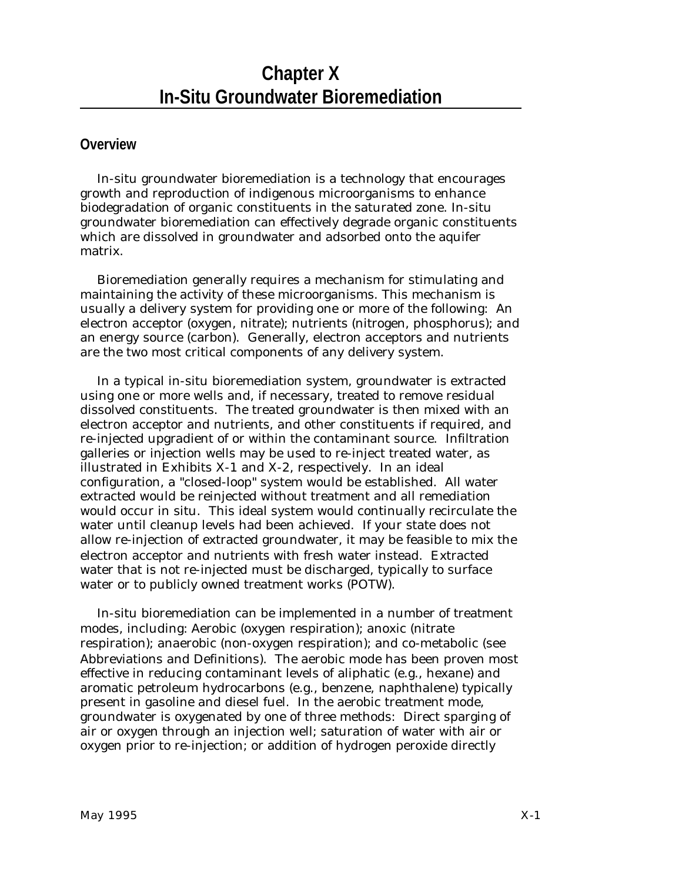## **Chapter X In-Situ Groundwater Bioremediation**

### **Overview**

In-situ groundwater bioremediation is a technology that encourages growth and reproduction of indigenous microorganisms to enhance biodegradation of organic constituents in the saturated zone. In-situ groundwater bioremediation can effectively degrade organic constituents which are dissolved in groundwater and adsorbed onto the aquifer matrix.

Bioremediation generally requires a mechanism for stimulating and maintaining the activity of these microorganisms. This mechanism is usually a delivery system for providing one or more of the following: An electron acceptor (oxygen, nitrate); nutrients (nitrogen, phosphorus); and an energy source (carbon). Generally, electron acceptors and nutrients are the two most critical components of any delivery system.

In a typical in-situ bioremediation system, groundwater is extracted using one or more wells and, if necessary, treated to remove residual dissolved constituents. The treated groundwater is then mixed with an electron acceptor and nutrients, and other constituents if required, and re-injected upgradient of or within the contaminant source. Infiltration galleries or injection wells may be used to re-inject treated water, as illustrated in Exhibits X-1 and X-2, respectively. In an ideal configuration, a "closed-loop" system would be established. All water extracted would be reinjected without treatment and all remediation would occur in situ. This ideal system would continually recirculate the water until cleanup levels had been achieved. If your state does not allow re-injection of extracted groundwater, it may be feasible to mix the electron acceptor and nutrients with fresh water instead. Extracted water that is not re-injected must be discharged, typically to surface water or to publicly owned treatment works (POTW).

In-situ bioremediation can be implemented in a number of treatment modes, including: Aerobic (oxygen respiration); anoxic (nitrate respiration); anaerobic (non-oxygen respiration); and co-metabolic (see Abbreviations and Definitions). The aerobic mode has been proven most effective in reducing contaminant levels of aliphatic (e.g., hexane) and aromatic petroleum hydrocarbons (e.g., benzene, naphthalene) typically present in gasoline and diesel fuel. In the aerobic treatment mode, groundwater is oxygenated by one of three methods: Direct sparging of air or oxygen through an injection well; saturation of water with air or oxygen prior to re-injection; or addition of hydrogen peroxide directly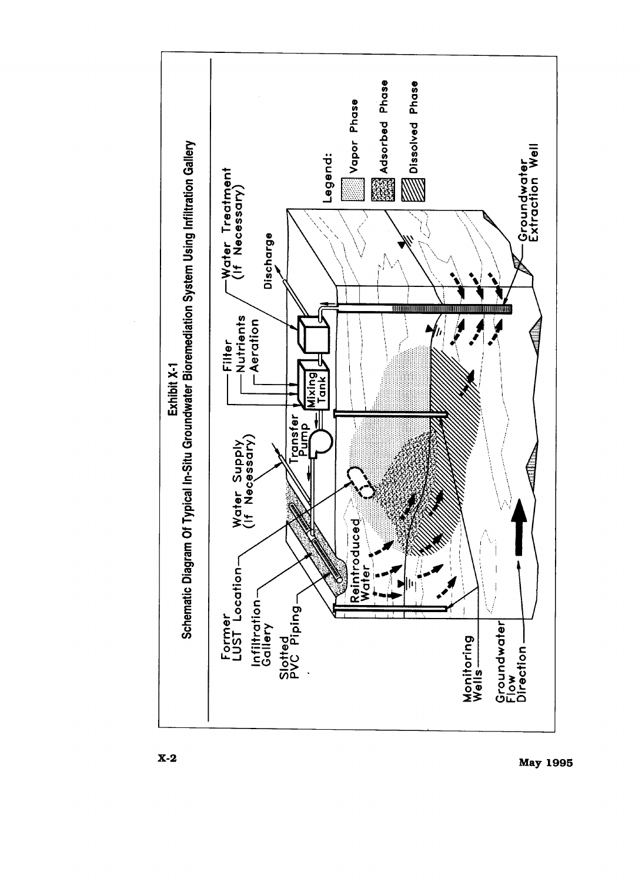

**May 1995**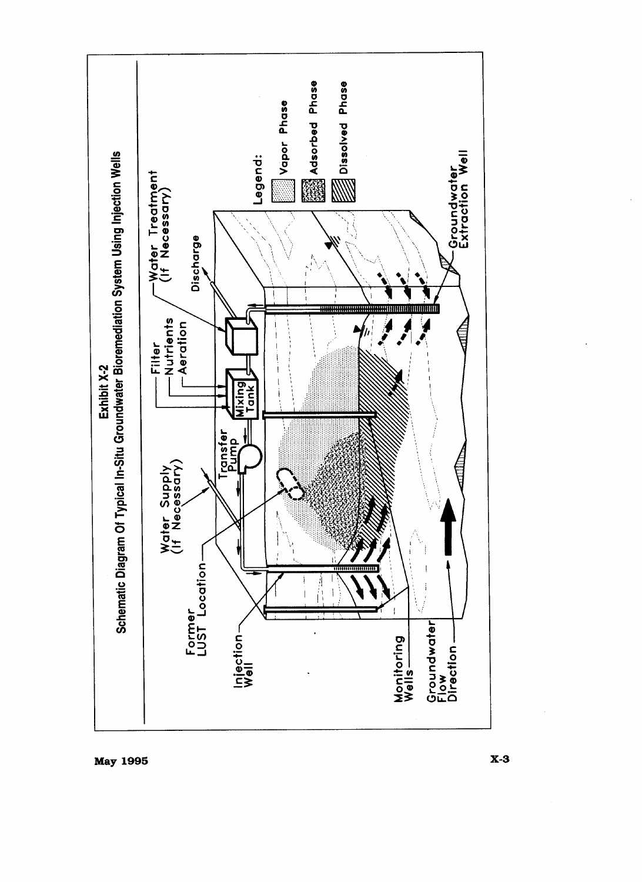

**May 1995** 

 $\mathbf{X}\text{-}3$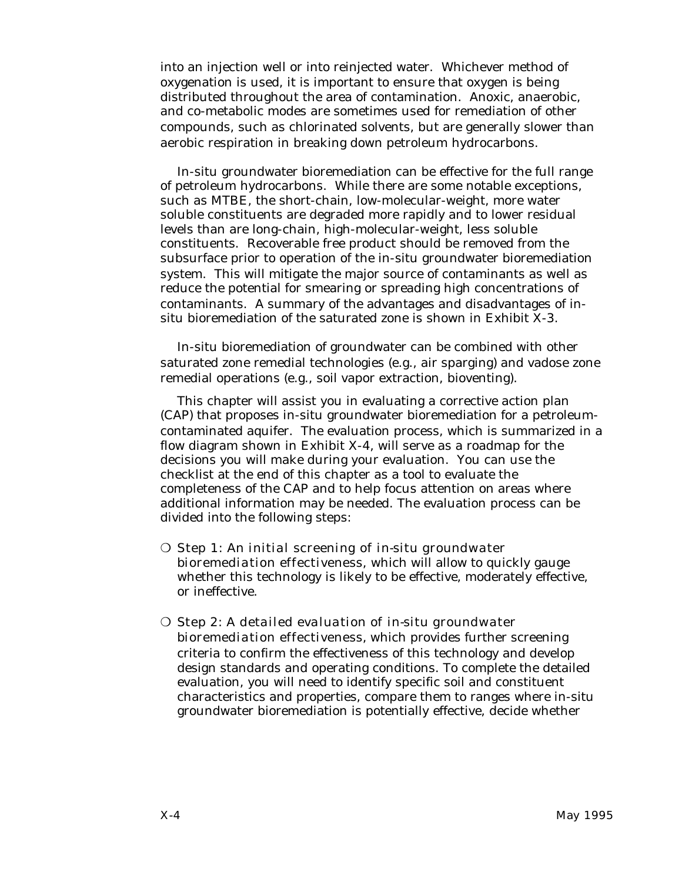into an injection well or into reinjected water. Whichever method of oxygenation is used, it is important to ensure that oxygen is being distributed throughout the area of contamination. Anoxic, anaerobic, and co-metabolic modes are sometimes used for remediation of other compounds, such as chlorinated solvents, but are generally slower than aerobic respiration in breaking down petroleum hydrocarbons.

In-situ groundwater bioremediation can be effective for the full range of petroleum hydrocarbons. While there are some notable exceptions, such as MTBE, the short-chain, low-molecular-weight, more water soluble constituents are degraded more rapidly and to lower residual levels than are long-chain, high-molecular-weight, less soluble constituents. Recoverable free product should be removed from the subsurface prior to operation of the in-situ groundwater bioremediation system. This will mitigate the major source of contaminants as well as reduce the potential for smearing or spreading high concentrations of contaminants. A summary of the advantages and disadvantages of insitu bioremediation of the saturated zone is shown in Exhibit X-3.

In-situ bioremediation of groundwater can be combined with other saturated zone remedial technologies (e.g., air sparging) and vadose zone remedial operations (e.g., soil vapor extraction, bioventing).

This chapter will assist you in evaluating a corrective action plan (CAP) that proposes in-situ groundwater bioremediation for a petroleumcontaminated aquifer. The evaluation process, which is summarized in a flow diagram shown in Exhibit X-4, will serve as a roadmap for the decisions you will make during your evaluation. You can use the checklist at the end of this chapter as a tool to evaluate the completeness of the CAP and to help focus attention on areas where additional information may be needed. The evaluation process can be divided into the following steps:

- **O** Step 1: An initial screening of in-situ groundwater *bioremediation effectiveness,* which will allow to quickly gauge whether this technology is likely to be effective, moderately effective, or ineffective.
- **O** Step 2: A detailed evaluation of in-situ groundwater *bioremediation effectiveness,* which provides further screening criteria to confirm the effectiveness of this technology and develop design standards and operating conditions. To complete the detailed evaluation, you will need to identify specific soil and constituent characteristics and properties, compare them to ranges where in-situ groundwater bioremediation is potentially effective, decide whether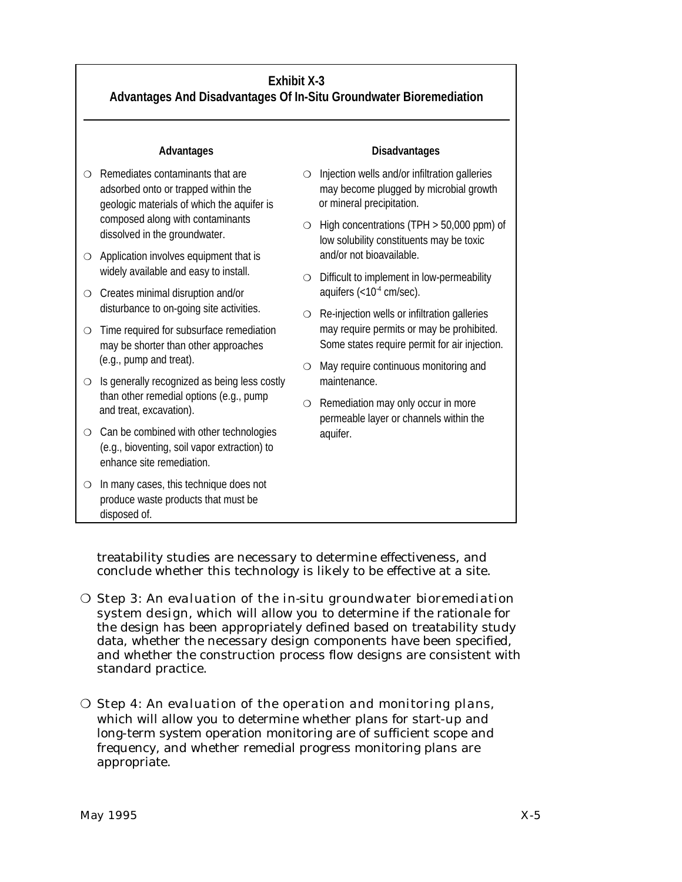## **Exhibit X-3 Advantages And Disadvantages Of In-Situ Groundwater Bioremediation**

 $X\sim3$ advantages And Disadvantages  $\sim3$ tu Groundwater Bioremediation  $\sim$ 

### **Advantages**

- $\bigcirc$  Remediates contaminants that are adsorbed onto or trapped within the geologic materials of which the aquifer is composed along with contaminants dissolved in the groundwater.
- $\circ$  Application involves equipment that is widely available and easy to install.
- $\circ$  Creates minimal disruption and/or disturbance to on-going site activities.
- $\bigcirc$  Time required for subsurface remediation may be shorter than other approaches (e.g., pump and treat).
- $\circ$  Is generally recognized as being less costly than other remedial options (e.g., pump and treat, excavation).
- $\circ$  Can be combined with other technologies (e.g., bioventing, soil vapor extraction) to enhance site remediation.
- $\circ$  In many cases, this technique does not produce waste products that must be disposed of.

### **Disadvantages**

- $\circ$  Injection wells and/or infiltration galleries may become plugged by microbial growth or mineral precipitation.
- $\circ$  High concentrations (TPH  $>$  50,000 ppm) of low solubility constituents may be toxic and/or not bioavailable.
- $\circ$  Difficult to implement in low-permeability aquifers  $\left\langle \langle 10^{-4} \text{ cm/sec} \rangle \right\rangle$ .
- $\circ$  Re-injection wells or infiltration galleries may require permits or may be prohibited. Some states require permit for air injection.
- $\bigcirc$  May require continuous monitoring and maintenance.
- $\bigcirc$  Remediation may only occur in more permeable layer or channels within the aquifer.

treatability studies are necessary to determine effectiveness, and conclude whether this technology is likely to be effective at a site.

- **O** Step 3: An evaluation of the in-situ groundwater bioremediation *system design*, which will allow you to determine if the rationale for the design has been appropriately defined based on treatability study data, whether the necessary design components have been specified, and whether the construction process flow designs are consistent with standard practice.
- $\bigcirc$  Step 4: An evaluation of the operation and monitoring plans, which will allow you to determine whether plans for start-up and long-term system operation monitoring are of sufficient scope and frequency, and whether remedial progress monitoring plans are appropriate.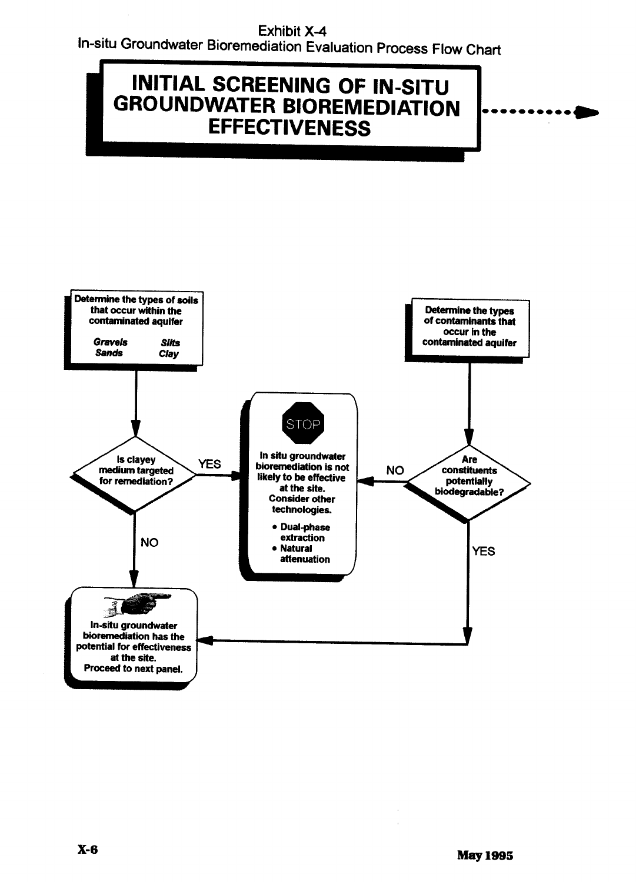Exhibit X-4 In-situ Groundwater Bioremediation Evaluation Process Flow Chart

## **INITIAL SCREENING OF IN-SITU GROUNDWATER BIOREMEDIATION EFFECTIVENESS**

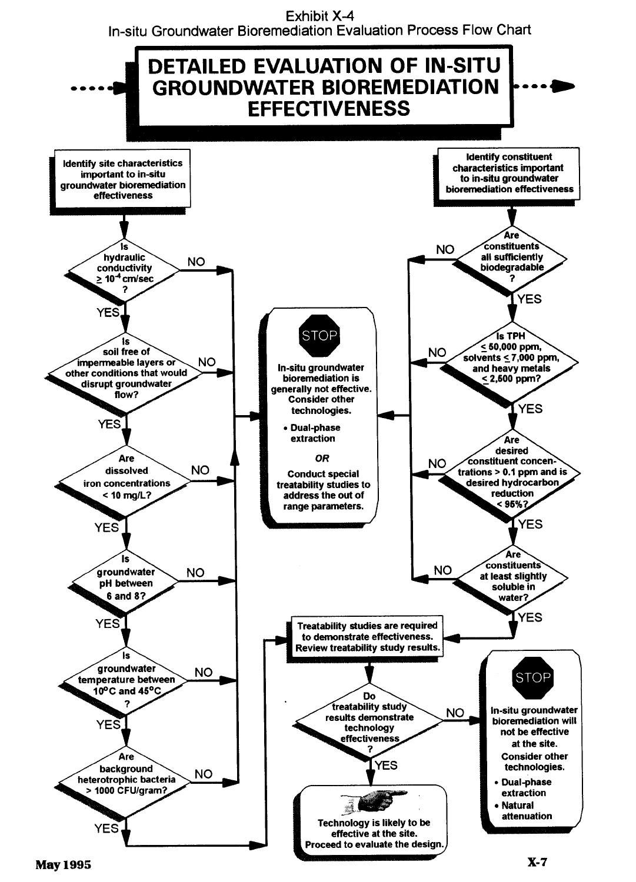

**May 1995**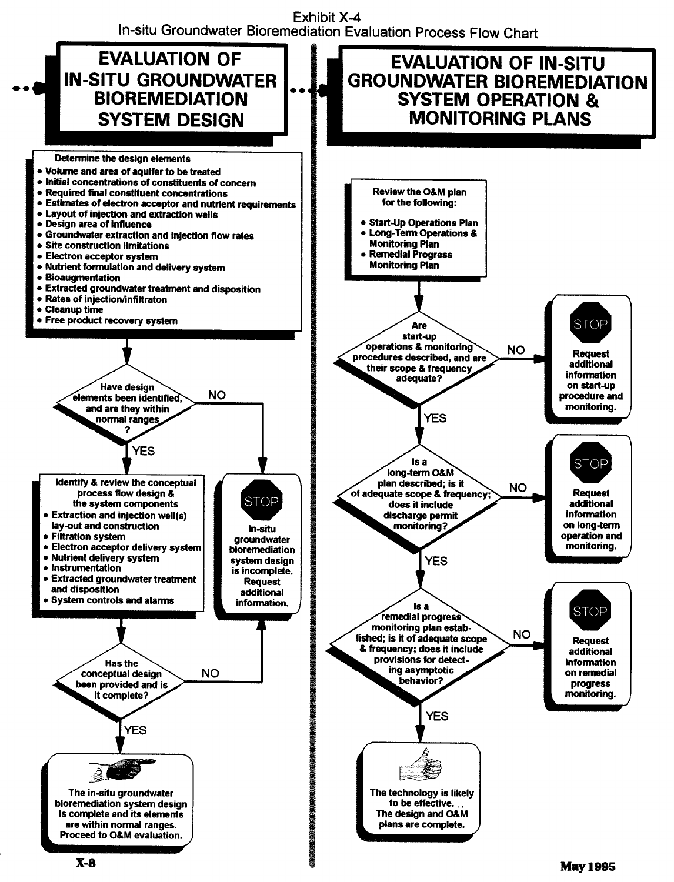Exhibit X-4 In-situ Groundwater Bioremediation Evaluation Process Flow Chart

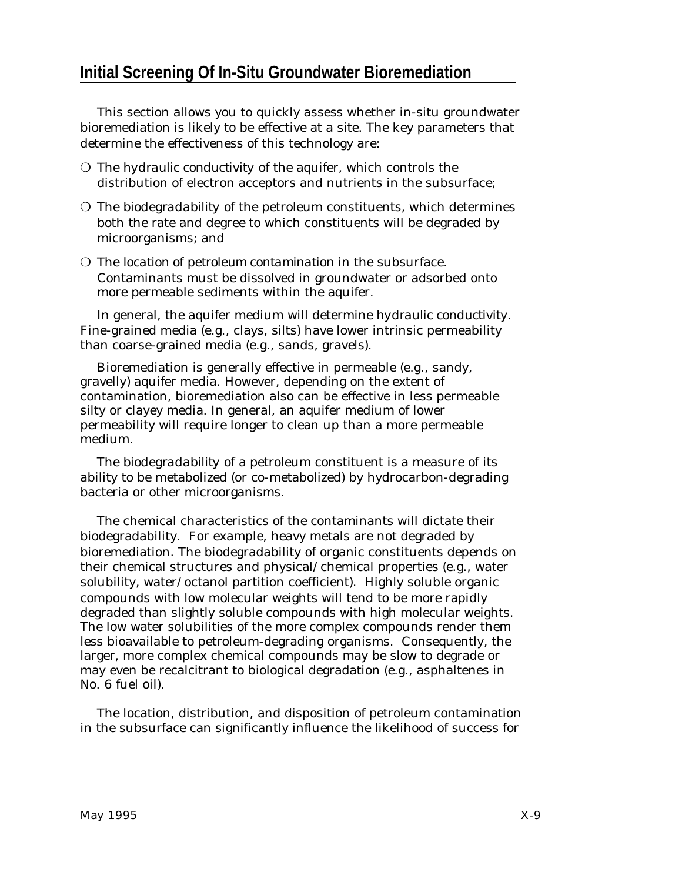## **Initial Screening Of In-Situ Groundwater Bioremediation**

This section allows you to quickly assess whether in-situ groundwater bioremediation is likely to be effective at a site. The key parameters that determine the effectiveness of this technology are:

- $\overline{O}$  The *hydraulic conductivity* of the aquifer, which controls the distribution of electron acceptors and nutrients in the subsurface;
- $\bigcirc$  The *biodegradability* of the petroleum constituents, which determines both the rate and degree to which constituents will be degraded by microorganisms; and
- $\bigcirc$  The *location of petroleum contamination* in the subsurface. Contaminants must be dissolved in groundwater or adsorbed onto more permeable sediments within the aquifer.

In general, the aquifer medium will determine *hydraulic conductivity*. Fine-grained media (e.g., clays, silts) have lower intrinsic permeability than coarse-grained media (e.g., sands, gravels).

Bioremediation is generally effective in permeable (e.g., sandy, gravelly) aquifer media. However, depending on the extent of contamination, bioremediation also can be effective in less permeable silty or clayey media. In general, an aquifer medium of lower permeability will require longer to clean up than a more permeable medium.

The *biodegradability* of a petroleum constituent is a measure of its ability to be metabolized (or co-metabolized) by hydrocarbon-degrading bacteria or other microorganisms.

The chemical characteristics of the contaminants will dictate their biodegradability. For example, heavy metals are not degraded by bioremediation. The biodegradability of organic constituents depends on their chemical structures and physical/chemical properties (e.g., water solubility, water/octanol partition coefficient). Highly soluble organic compounds with low molecular weights will tend to be more rapidly degraded than slightly soluble compounds with high molecular weights. The low water solubilities of the more complex compounds render them less bioavailable to petroleum-degrading organisms. Consequently, the larger, more complex chemical compounds may be slow to degrade or may even be recalcitrant to biological degradation (e.g., asphaltenes in No. 6 fuel oil).

The location, distribution, and disposition of petroleum contamination in the subsurface can significantly influence the likelihood of success for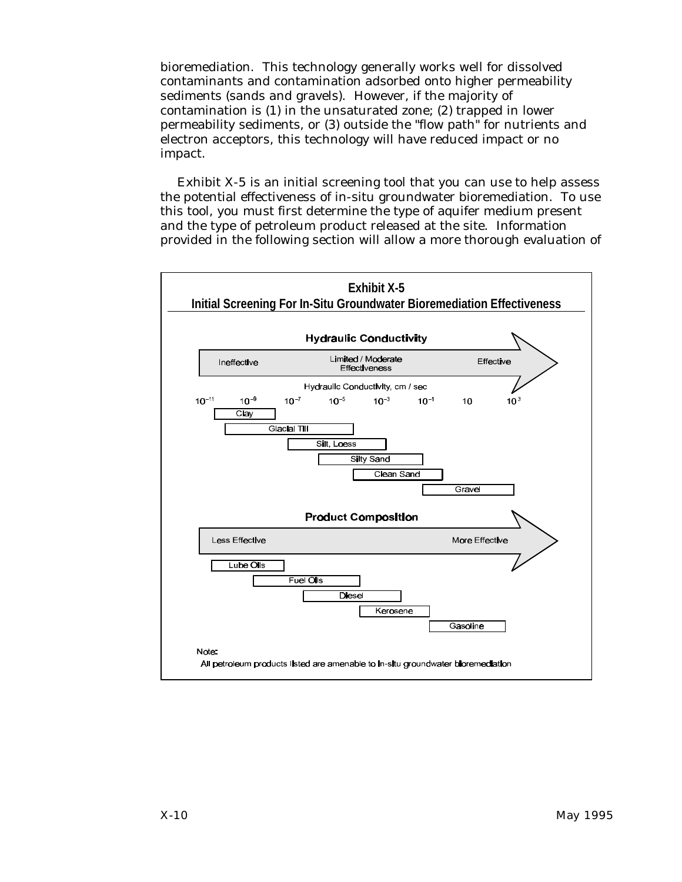<span id="page-13-0"></span>bioremediation. This technology generally works well for dissolved contaminants and contamination adsorbed onto higher permeability sediments (sands and gravels). However, if the majority of contamination is (1) in the unsaturated zone; (2) trapped in lower permeability sediments, or (3) outside the "flow path" for nutrients and electron acceptors, this technology will have reduced impact or no impact.

Exhibit X-5 is an initial screening tool that you can use to help assess the potential effectiveness of in-situ groundwater bioremediation. To use this tool, you must first determine the type of aquifer medium present and the type of petroleum product released at the site. Information provided in the following section will allow a more thorough evaluation of

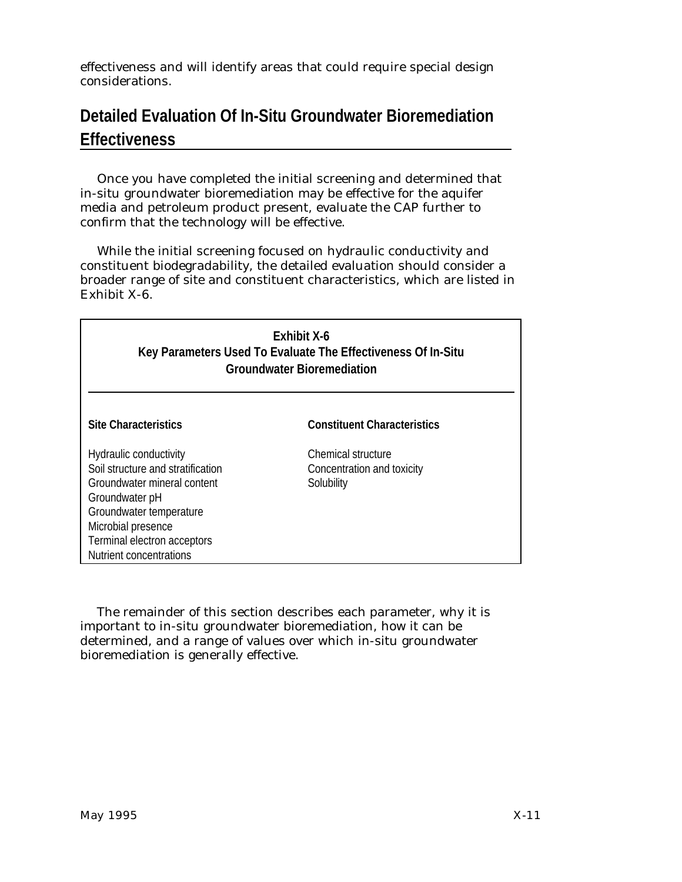effectiveness and will identify areas that could require special design considerations.

## **Detailed Evaluation Of In-Situ Groundwater Bioremediation Effectiveness**

Once you have completed the initial screening and determined that in-situ groundwater bioremediation may be effective for the aquifer media and petroleum product present, evaluate the CAP further to confirm that the technology will be effective.

While the initial screening focused on hydraulic conductivity and constituent biodegradability, the detailed evaluation should consider a broader range of site and constituent characteristics, which are listed in Exhibit X-6.

 $\mathcal{L}_{\mathcal{L}}$  -for the Effectiveness Of In-Situ  $\mathcal{L}_{\mathcal{L}}$  and  $\mathcal{L}_{\mathcal{L}}$  and  $\mathcal{L}_{\mathcal{L}}$  and  $\mathcal{L}_{\mathcal{L}}$  and  $\mathcal{L}_{\mathcal{L}}$  and  $\mathcal{L}_{\mathcal{L}}$  and  $\mathcal{L}_{\mathcal{L}}$  and  $\mathcal{L}_{\mathcal{L}}$  and  $\mathcal{L}_{\mathcal{L}}$  and

| <b>Exhibit X-6</b><br>Key Parameters Used To Evaluate The Effectiveness Of In-Situ<br><b>Groundwater Bioremediation</b>                                                                                                        |                                                                       |  |  |
|--------------------------------------------------------------------------------------------------------------------------------------------------------------------------------------------------------------------------------|-----------------------------------------------------------------------|--|--|
| <b>Site Characteristics</b>                                                                                                                                                                                                    | <b>Constituent Characteristics</b>                                    |  |  |
| Hydraulic conductivity<br>Soil structure and stratification<br>Groundwater mineral content<br>Groundwater pH<br>Groundwater temperature<br>Microbial presence<br>Terminal electron acceptors<br><b>Nutrient concentrations</b> | <b>Chemical structure</b><br>Concentration and toxicity<br>Solubility |  |  |

The remainder of this section describes each parameter, why it is important to in-situ groundwater bioremediation, how it can be determined, and a range of values over which in-situ groundwater bioremediation is generally effective.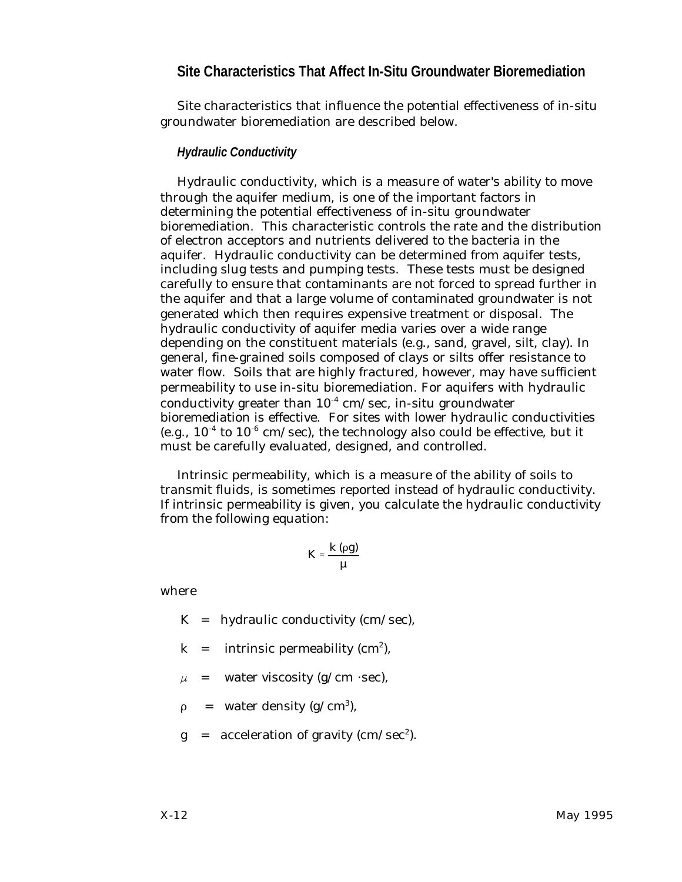## **Site Characteristics That Affect In-Situ Groundwater Bioremediation**

<span id="page-15-0"></span>Site characteristics that influence the potential effectiveness of in-situ groundwater bioremediation are described below.

#### *Hydraulic Conductivity*

Hydraulic conductivity, which is a measure of water's ability to move through the aquifer medium, is one of the important factors in determining the potential effectiveness of in-situ groundwater bioremediation. This characteristic controls the rate and the distribution of electron acceptors and nutrients delivered to the bacteria in the aquifer. Hydraulic conductivity can be determined from aquifer tests, including slug tests and pumping tests. These tests must be designed carefully to ensure that contaminants are not forced to spread further in the aquifer and that a large volume of contaminated groundwater is not generated which then requires expensive treatment or disposal. The hydraulic conductivity of aquifer media varies over a wide range depending on the constituent materials (e.g., sand, gravel, silt, clay). In general, fine-grained soils composed of clays or silts offer resistance to water flow. Soils that are highly fractured, however, may have sufficient permeability to use in-situ bioremediation. For aquifers with hydraulic conductivity greater than  $10^{-4}$  cm/sec, in-situ groundwater bioremediation is effective. For sites with lower hydraulic conductivities (e.g.,  $10^{-4}$  to  $10^{-6}$  cm/sec), the technology also could be effective, but it must be carefully evaluated, designed, and controlled.

Intrinsic permeability, which is a measure of the ability of soils to transmit fluids, is sometimes reported instead of hydraulic conductivity. If intrinsic permeability is given, you calculate the hydraulic conductivity from the following equation:

$$
K = \frac{k (\rho g)}{\mu}
$$

where

- $K =$  hydraulic conductivity (cm/sec),
- $k =$  intrinsic permeability (cm<sup>2</sup>),
- $\mu$  = water viscosity (g/cm ·sec),
- $\rho$  = water density (g/cm<sup>3</sup>),
- $g = \text{acceleration of gravity (cm/sec<sup>2</sup>).}$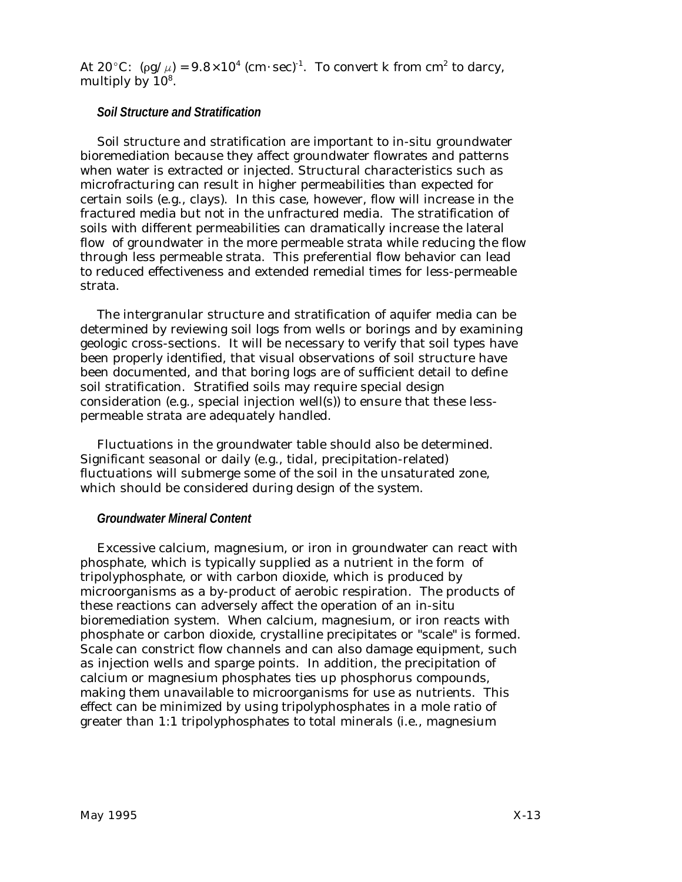At 20°C:  $(\rho g/\mu) = 9.8 \times 10^4$  (cm·sec)<sup>-1</sup>. To convert k from cm<sup>2</sup> to darcy, multiply by  $10^8$ .

#### *Soil Structure and Stratification*

Soil structure and stratification are important to in-situ groundwater bioremediation because they affect groundwater flowrates and patterns when water is extracted or injected. Structural characteristics such as microfracturing can result in higher permeabilities than expected for certain soils (e.g., clays). In this case, however, flow will increase in the fractured media but not in the unfractured media. The stratification of soils with different permeabilities can dramatically increase the lateral flow of groundwater in the more permeable strata while reducing the flow through less permeable strata. This preferential flow behavior can lead to reduced effectiveness and extended remedial times for less-permeable strata.

The intergranular structure and stratification of aquifer media can be determined by reviewing soil logs from wells or borings and by examining geologic cross-sections. It will be necessary to verify that soil types have been properly identified, that visual observations of soil structure have been documented, and that boring logs are of sufficient detail to define soil stratification. Stratified soils may require special design consideration (e.g., special injection well(s)) to ensure that these lesspermeable strata are adequately handled.

Fluctuations in the groundwater table should also be determined. Significant seasonal or daily (e.g., tidal, precipitation-related) fluctuations will submerge some of the soil in the unsaturated zone, which should be considered during design of the system.

#### *Groundwater Mineral Content*

Excessive calcium, magnesium, or iron in groundwater can react with phosphate, which is typically supplied as a nutrient in the form of tripolyphosphate, or with carbon dioxide, which is produced by microorganisms as a by-product of aerobic respiration. The products of these reactions can adversely affect the operation of an in-situ bioremediation system. When calcium, magnesium, or iron reacts with phosphate or carbon dioxide, crystalline precipitates or "scale" is formed. Scale can constrict flow channels and can also damage equipment, such as injection wells and sparge points. In addition, the precipitation of calcium or magnesium phosphates ties up phosphorus compounds, making them unavailable to microorganisms for use as nutrients. This effect can be minimized by using tripolyphosphates in a mole ratio of greater than 1:1 tripolyphosphates to total minerals (i.e., magnesium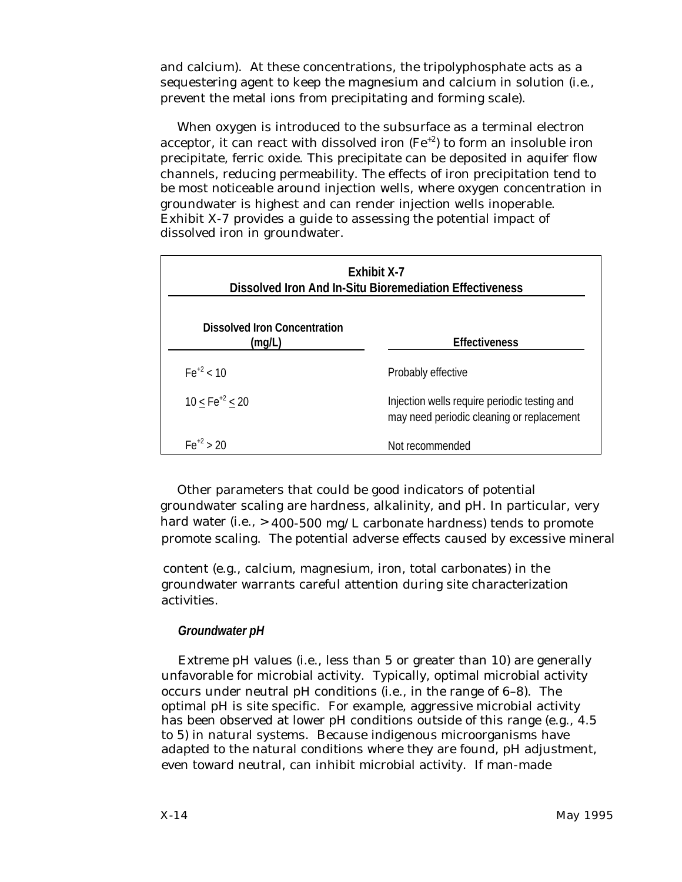<span id="page-17-0"></span>and calcium). At these concentrations, the tripolyphosphate acts as a sequestering agent to keep the magnesium and calcium in solution (i.e., prevent the metal ions from precipitating and forming scale).

When oxygen is introduced to the subsurface as a terminal electron acceptor, it can react with dissolved iron  $(Fe^{2})$  to form an insoluble iron precipitate, ferric oxide. This precipitate can be deposited in aquifer flow channels, reducing permeability. The effects of iron precipitation tend to be most noticeable around injection wells, where oxygen concentration in groundwater is highest and can render injection wells inoperable. Exhibit X-7 provides a guide to assessing the potential impact of dissolved iron in groundwater.

| <b>Exhibit X-7</b><br><b>Dissolved Iron And In-Situ Bioremediation Effectiveness</b> |                                                                                           |  |  |
|--------------------------------------------------------------------------------------|-------------------------------------------------------------------------------------------|--|--|
| <b>Dissolved Iron Concentration</b><br><b>Effectiveness</b><br>(mg/L)                |                                                                                           |  |  |
| $Fe^{+2}$ < 10                                                                       | Probably effective                                                                        |  |  |
| $10 < Fe^{+2} < 20$                                                                  | Injection wells require periodic testing and<br>may need periodic cleaning or replacement |  |  |
| $Fe+2 > 20$                                                                          | Not recommended                                                                           |  |  |

Other parameters that could be good indicators of potential groundwater scaling are hardness, alkalinity, and pH. In particular, very hard water (i.e., > 400-500 mg/L carbonate hardness) tends to promote promote scaling. The potential adverse effects caused by excessive mineral

content (e.g., calcium, magnesium, iron, total carbonates) in the groundwater warrants careful attention during site characterization activities.

## *Groundwater pH*

Extreme pH values (i.e., less than 5 or greater than 10) are generally unfavorable for microbial activity. Typically, optimal microbial activity occurs under neutral pH conditions (i.e., in the range of 6–8). The optimal pH is site specific. For example, aggressive microbial activity has been observed at lower pH conditions outside of this range (e.g., 4.5 to 5) in natural systems. Because indigenous microorganisms have adapted to the natural conditions where they are found, pH adjustment, even toward neutral, can inhibit microbial activity. If man-made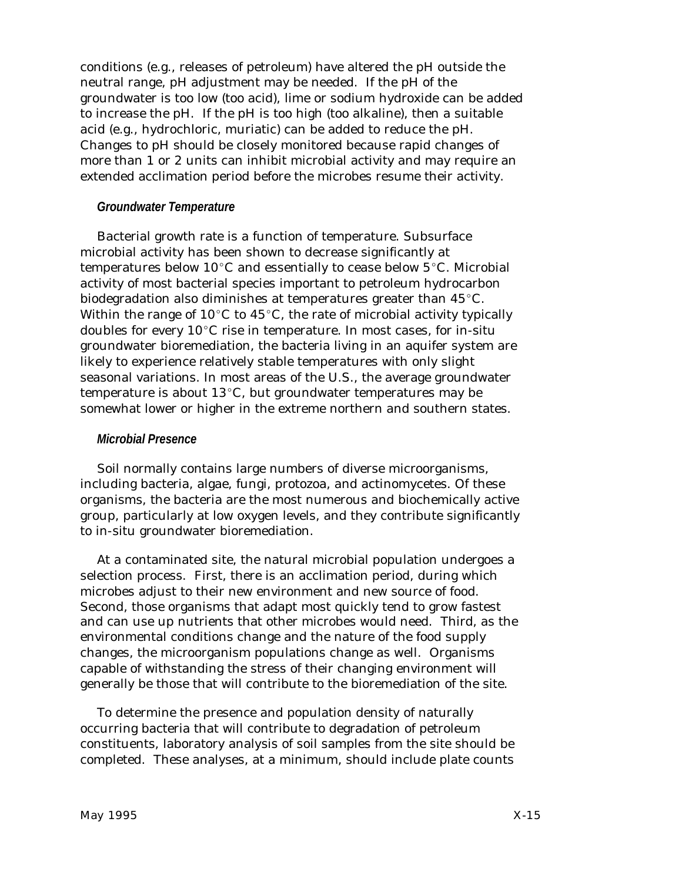conditions (e.g., releases of petroleum) have altered the pH outside the neutral range, pH adjustment may be needed. If the pH of the groundwater is too low (too acid), lime or sodium hydroxide can be added to increase the pH. If the pH is too high (too alkaline), then a suitable acid (e.g., hydrochloric, muriatic) can be added to reduce the pH. Changes to pH should be closely monitored because rapid changes of more than 1 or 2 units can inhibit microbial activity and may require an extended acclimation period before the microbes resume their activity.

#### *Groundwater Temperature*

Bacterial growth rate is a function of temperature. Subsurface microbial activity has been shown to decrease significantly at temperatures below 10°C and essentially to cease below  $5^{\circ}$ C. Microbial activity of most bacterial species important to petroleum hydrocarbon biodegradation also diminishes at temperatures greater than  $45^{\circ}$ C. Within the range of 10<sup>o</sup>C to 45<sup>o</sup>C, the rate of microbial activity typically doubles for every  $10^{\circ}$ C rise in temperature. In most cases, for in-situ groundwater bioremediation, the bacteria living in an aquifer system are likely to experience relatively stable temperatures with only slight seasonal variations. In most areas of the U.S., the average groundwater temperature is about  $13^{\circ}$ C, but groundwater temperatures may be somewhat lower or higher in the extreme northern and southern states.

#### *Microbial Presence*

Soil normally contains large numbers of diverse microorganisms, including bacteria, algae, fungi, protozoa, and actinomycetes. Of these organisms, the bacteria are the most numerous and biochemically active group, particularly at low oxygen levels, and they contribute significantly to in-situ groundwater bioremediation.

At a contaminated site, the natural microbial population undergoes a selection process. First, there is an acclimation period, during which microbes adjust to their new environment and new source of food. Second, those organisms that adapt most quickly tend to grow fastest and can use up nutrients that other microbes would need. Third, as the environmental conditions change and the nature of the food supply changes, the microorganism populations change as well. Organisms capable of withstanding the stress of their changing environment will generally be those that will contribute to the bioremediation of the site.

To determine the presence and population density of naturally occurring bacteria that will contribute to degradation of petroleum constituents, laboratory analysis of soil samples from the site should be completed. These analyses, at a minimum, should include plate counts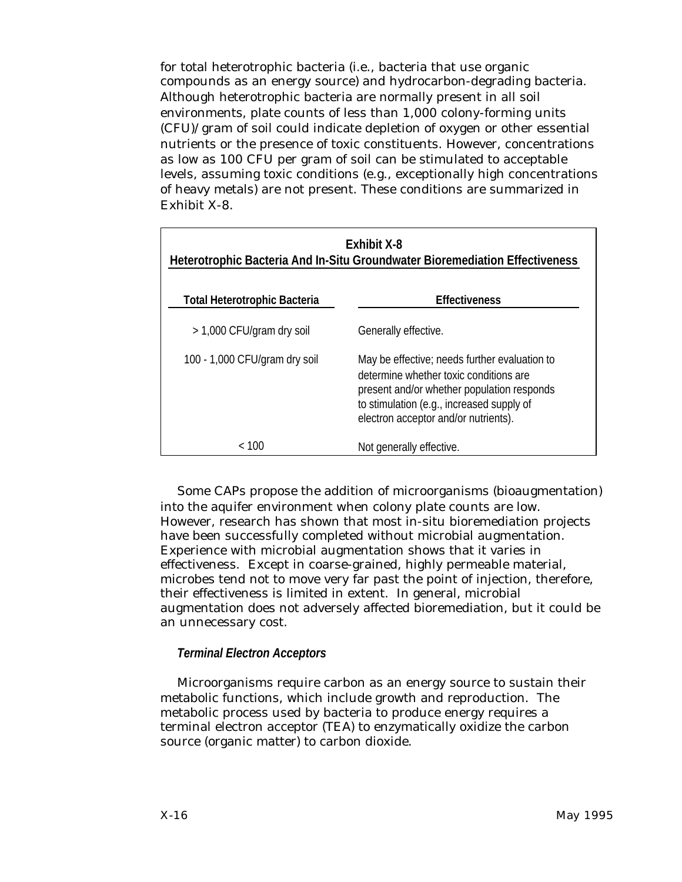<span id="page-19-0"></span>for total heterotrophic bacteria (i.e., bacteria that use organic compounds as an energy source) and hydrocarbon-degrading bacteria. Although heterotrophic bacteria are normally present in all soil environments, plate counts of less than 1,000 colony-forming units (CFU)/gram of soil could indicate depletion of oxygen or other essential nutrients or the presence of toxic constituents. However, concentrations as low as 100 CFU per gram of soil can be stimulated to acceptable levels, assuming toxic conditions (e.g., exceptionally high concentrations of heavy metals) are not present. These conditions are summarized in Exhibit X-8.

| <b>Exhibit X-8</b><br>Heterotrophic Bacteria And In-Situ Groundwater Bioremediation Effectiveness |                                                                                                                                                                                                                            |  |  |
|---------------------------------------------------------------------------------------------------|----------------------------------------------------------------------------------------------------------------------------------------------------------------------------------------------------------------------------|--|--|
| <b>Total Heterotrophic Bacteria</b>                                                               | <b>Effectiveness</b>                                                                                                                                                                                                       |  |  |
| $>1,000$ CFU/gram dry soil                                                                        | Generally effective.                                                                                                                                                                                                       |  |  |
| 100 - 1,000 CFU/gram dry soil                                                                     | May be effective; needs further evaluation to<br>determine whether toxic conditions are<br>present and/or whether population responds<br>to stimulation (e.g., increased supply of<br>electron acceptor and/or nutrients). |  |  |
| < 100                                                                                             | Not generally effective.                                                                                                                                                                                                   |  |  |

Some CAPs propose the addition of microorganisms (bioaugmentation) into the aquifer environment when colony plate counts are low. However, research has shown that most in-situ bioremediation projects have been successfully completed without microbial augmentation. Experience with microbial augmentation shows that it varies in effectiveness. Except in coarse-grained, highly permeable material, microbes tend not to move very far past the point of injection, therefore, their effectiveness is limited in extent. In general, microbial augmentation does not adversely affected bioremediation, but it could be an unnecessary cost.

## *Terminal Electron Acceptors*

Microorganisms require carbon as an energy source to sustain their metabolic functions, which include growth and reproduction. The metabolic process used by bacteria to produce energy requires a terminal electron acceptor (TEA) to enzymatically oxidize the carbon source (organic matter) to carbon dioxide.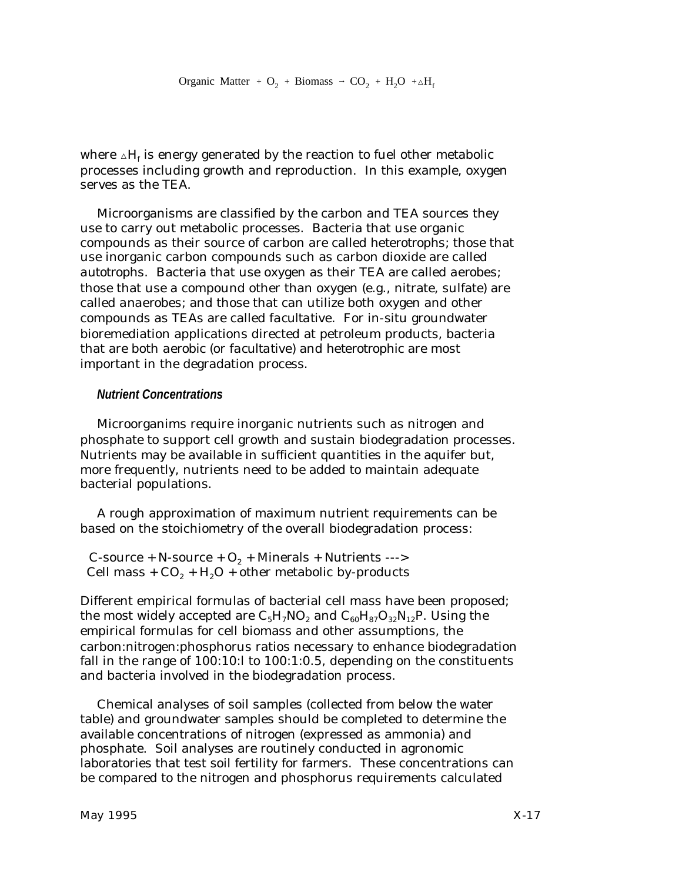where  $\Delta H_{\rm f}$  is energy generated by the reaction to fuel other metabolic processes including growth and reproduction. In this example, oxygen serves as the TEA.

Microorganisms are classified by the carbon and TEA sources they use to carry out metabolic processes. Bacteria that use organic compounds as their source of carbon are called *heterotrophs*; those that use inorganic carbon compounds such as carbon dioxide are called *autotrophs*. Bacteria that use oxygen as their TEA are called *aerobes*; those that use a compound other than oxygen (e.g., nitrate, sulfate) are called *anaerobes*; and those that can utilize both oxygen and other compounds as TEAs are called *facultative*. For in-situ groundwater bioremediation applications directed at petroleum products, bacteria that are both *aerobic* (or *facultative*) and *heterotrophic* are most important in the degradation process.

#### *Nutrient Concentrations*

Microorganims require inorganic nutrients such as nitrogen and phosphate to support cell growth and sustain biodegradation processes. Nutrients may be available in sufficient quantities in the aquifer but, more frequently, nutrients need to be added to maintain adequate bacterial populations.

A rough approximation of maximum nutrient requirements can be based on the stoichiometry of the overall biodegradation process:

C-source + N-source +  $O_2$  + Minerals + Nutrients ---> Cell mass +  $CO<sub>2</sub>$  +  $H<sub>2</sub>O$  + other metabolic by-products

Different empirical formulas of bacterial cell mass have been proposed; the most widely accepted are  $C_5H_7NO_2$  and  $C_{60}H_{87}O_{32}N_{12}P$ . Using the empirical formulas for cell biomass and other assumptions, the carbon:nitrogen:phosphorus ratios necessary to enhance biodegradation fall in the range of 100:10:l to 100:1:0.5, depending on the constituents and bacteria involved in the biodegradation process.

Chemical analyses of soil samples (collected from below the water table) and groundwater samples should be completed to determine the available concentrations of nitrogen (expressed as ammonia) and phosphate. Soil analyses are routinely conducted in agronomic laboratories that test soil fertility for farmers. These concentrations can be compared to the nitrogen and phosphorus requirements calculated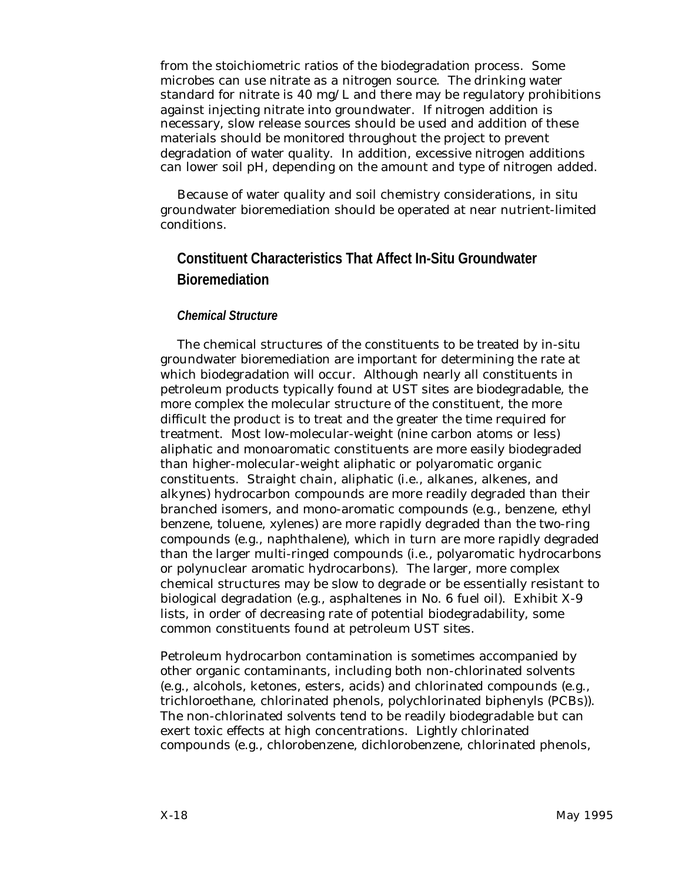<span id="page-21-0"></span>from the stoichiometric ratios of the biodegradation process. Some microbes can use nitrate as a nitrogen source. The drinking water standard for nitrate is 40 mg/L and there may be regulatory prohibitions against injecting nitrate into groundwater. If nitrogen addition is necessary, slow release sources should be used and addition of these materials should be monitored throughout the project to prevent degradation of water quality. In addition, excessive nitrogen additions can lower soil pH, depending on the amount and type of nitrogen added.

Because of water quality and soil chemistry considerations, in situ groundwater bioremediation should be operated at near nutrient-limited conditions.

## **Constituent Characteristics That Affect In-Situ Groundwater Bioremediation**

#### *Chemical Structure*

The chemical structures of the constituents to be treated by in-situ groundwater bioremediation are important for determining the rate at which biodegradation will occur. Although nearly all constituents in petroleum products typically found at UST sites are biodegradable, the more complex the molecular structure of the constituent, the more difficult the product is to treat and the greater the time required for treatment. Most low-molecular-weight (nine carbon atoms or less) aliphatic and monoaromatic constituents are more easily biodegraded than higher-molecular-weight aliphatic or polyaromatic organic constituents. Straight chain, aliphatic (i.e., alkanes, alkenes, and alkynes) hydrocarbon compounds are more readily degraded than their branched isomers, and mono-aromatic compounds (e.g., benzene, ethyl benzene, toluene, xylenes) are more rapidly degraded than the two-ring compounds (e.g., naphthalene), which in turn are more rapidly degraded than the larger multi-ringed compounds (i.e., polyaromatic hydrocarbons or polynuclear aromatic hydrocarbons). The larger, more complex chemical structures may be slow to degrade or be essentially resistant to biological degradation (e.g., asphaltenes in No. 6 fuel oil). Exhibit X-9 lists, in order of decreasing rate of potential biodegradability, some common constituents found at petroleum UST sites.

Petroleum hydrocarbon contamination is sometimes accompanied by other organic contaminants, including both non-chlorinated solvents (e.g., alcohols, ketones, esters, acids) and chlorinated compounds (e.g., trichloroethane, chlorinated phenols, polychlorinated biphenyls (PCBs)). The non-chlorinated solvents tend to be readily biodegradable but can exert toxic effects at high concentrations. Lightly chlorinated compounds (e.g., chlorobenzene, dichlorobenzene, chlorinated phenols,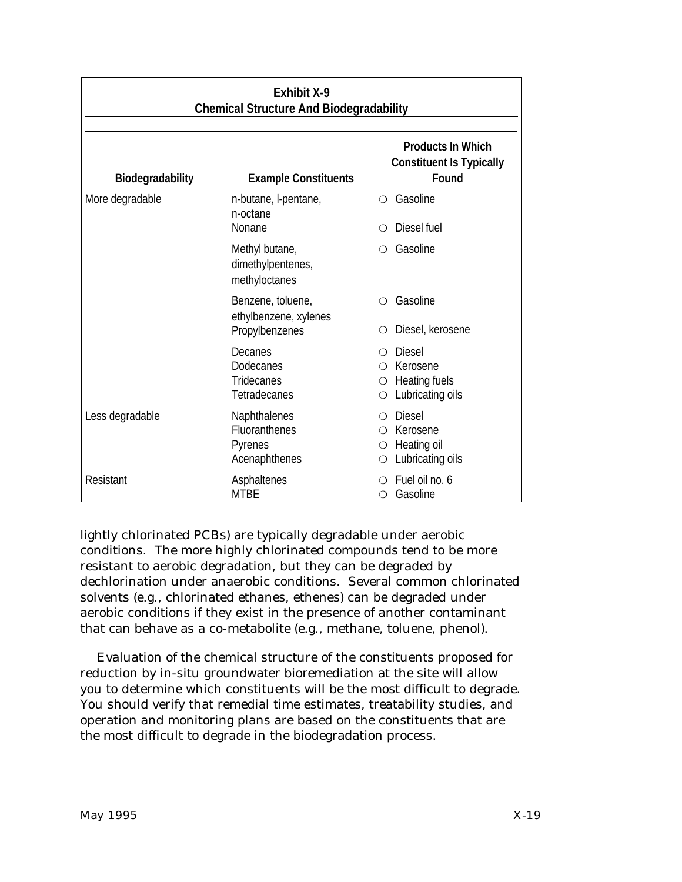| <b>Exhibit X-9</b><br><b>Chemical Structure And Biodegradability</b> |                                                                  |                                                                                          |  |  |
|----------------------------------------------------------------------|------------------------------------------------------------------|------------------------------------------------------------------------------------------|--|--|
| <b>Biodegradability</b><br><b>Example Constituents</b>               |                                                                  | <b>Products In Which</b><br><b>Constituent Is Typically</b><br>Found                     |  |  |
| More degradable                                                      | n-butane, I-pentane,<br>n-octane<br><b>Nonane</b>                | Gasoline<br>∩<br>Diesel fuel                                                             |  |  |
|                                                                      | Methyl butane,<br>dimethylpentenes,<br>methyloctanes             | Gasoline<br>∩                                                                            |  |  |
|                                                                      | Benzene, toluene,<br>ethylbenzene, xylenes<br>Propylbenzenes     | Gasoline<br>∩<br>Diesel, kerosene<br>∩                                                   |  |  |
|                                                                      | Decanes<br><b>Dodecanes</b><br><b>Tridecanes</b><br>Tetradecanes | Diesel<br>∩<br>Kerosene<br>∩<br><b>Heating fuels</b><br>$\circ$<br>Lubricating oils<br>◯ |  |  |
| Less degradable                                                      | Naphthalenes<br><b>Fluoranthenes</b><br>Pyrenes<br>Acenaphthenes | <b>Diesel</b><br>∩<br>Kerosene<br>∩<br>Heating oil<br>◯<br>Lubricating oils<br>$\circ$   |  |  |
| Resistant                                                            | Asphaltenes<br><b>MTBE</b>                                       | Fuel oil no. 6<br>∩<br>Gasoline<br>∩                                                     |  |  |

lightly chlorinated PCBs) are typically degradable under aerobic conditions. The more highly chlorinated compounds tend to be more resistant to aerobic degradation, but they can be degraded by dechlorination under anaerobic conditions. Several common chlorinated solvents (e.g., chlorinated ethanes, ethenes) can be degraded under aerobic conditions if they exist in the presence of another contaminant that can behave as a co-metabolite (e.g., methane, toluene, phenol).

Evaluation of the chemical structure of the constituents proposed for reduction by in-situ groundwater bioremediation at the site will allow you to determine which constituents will be the most difficult to degrade. You should verify that remedial time estimates, treatability studies, and operation and monitoring plans are based on the constituents that are the most difficult to degrade in the biodegradation process.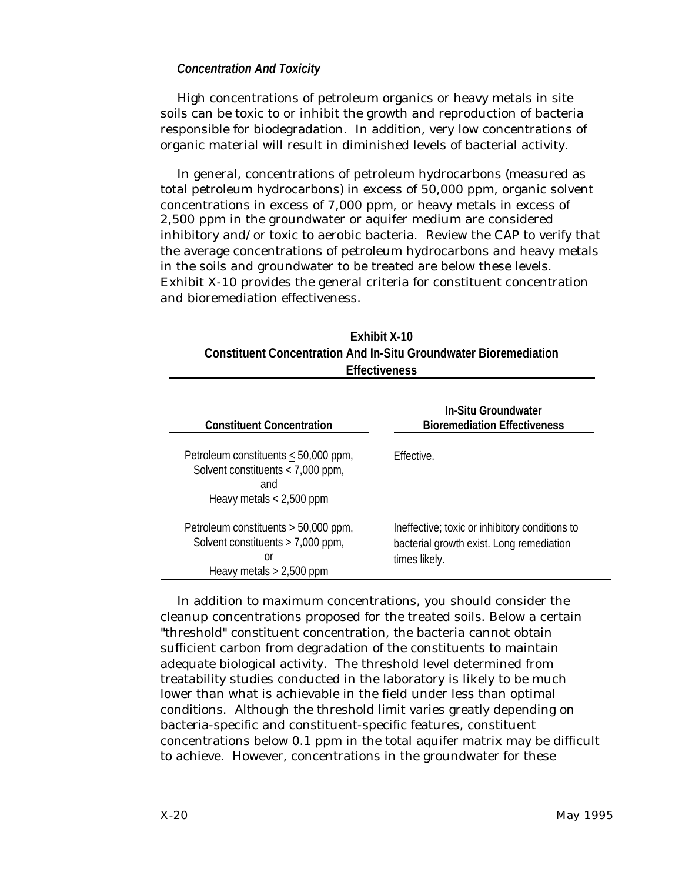### *Concentration And Toxicity*

High concentrations of petroleum organics or heavy metals in site soils can be toxic to or inhibit the growth and reproduction of bacteria responsible for biodegradation. In addition, very low concentrations of organic material will result in diminished levels of bacterial activity.

In general, concentrations of petroleum hydrocarbons (measured as total petroleum hydrocarbons) in excess of 50,000 ppm, organic solvent concentrations in excess of 7,000 ppm, or heavy metals in excess of 2,500 ppm in the groundwater or aquifer medium are considered inhibitory and/or toxic to aerobic bacteria. Review the CAP to verify that the average concentrations of petroleum hydrocarbons and heavy metals in the soils and groundwater to be treated are below these levels. Exhibit X-10 provides the general criteria for constituent concentration and bioremediation effectiveness.

| <b>Exhibit X-10</b><br><b>Constituent Concentration And In-Situ Groundwater Bioremediation</b><br><b>Effectiveness</b> |                                                                                                             |  |  |
|------------------------------------------------------------------------------------------------------------------------|-------------------------------------------------------------------------------------------------------------|--|--|
| <b>Constituent Concentration</b>                                                                                       | <b>In-Situ Groundwater</b><br><b>Bioremediation Effectiveness</b>                                           |  |  |
| Petroleum constituents < 50,000 ppm,<br>Solvent constituents $<$ 7,000 ppm,<br>and<br>Heavy metals $<$ 2,500 ppm       | Fffective.                                                                                                  |  |  |
| Petroleum constituents > 50,000 ppm,<br>Solvent constituents $> 7,000$ ppm,<br>or<br>Heavy metals $> 2,500$ ppm        | Ineffective; toxic or inhibitory conditions to<br>bacterial growth exist. Long remediation<br>times likely. |  |  |

In addition to maximum concentrations, you should consider the cleanup concentrations proposed for the treated soils. Below a certain "threshold" constituent concentration, the bacteria cannot obtain sufficient carbon from degradation of the constituents to maintain adequate biological activity. The threshold level determined from treatability studies conducted in the laboratory is likely to be much lower than what is achievable in the field under less than optimal conditions. Although the threshold limit varies greatly depending on bacteria-specific and constituent-specific features, constituent concentrations below 0.1 ppm in the total aquifer matrix may be difficult to achieve. However, concentrations in the groundwater for these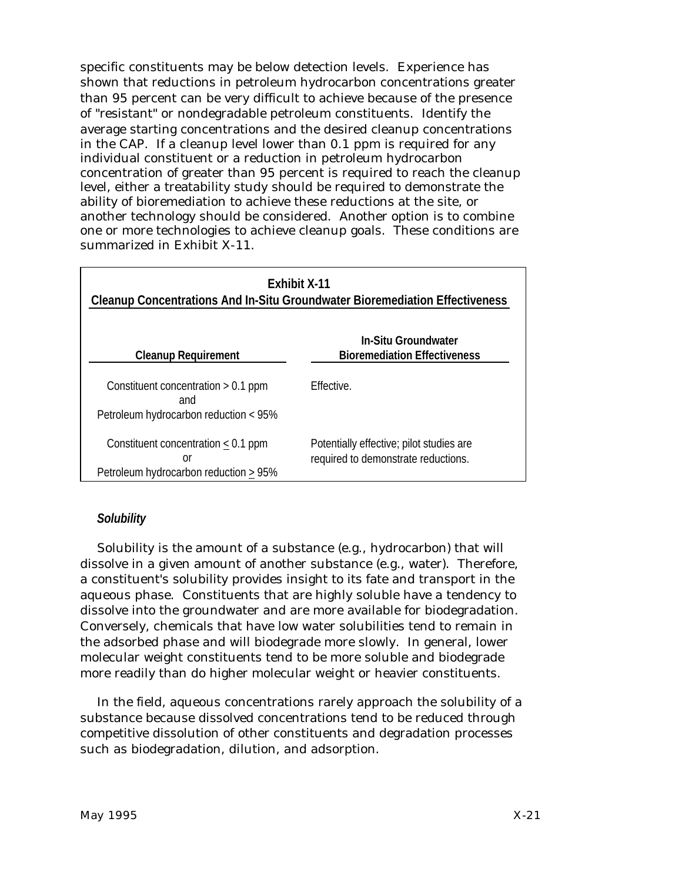specific constituents may be below detection levels. Experience has shown that reductions in petroleum hydrocarbon concentrations greater than 95 percent can be very difficult to achieve because of the presence of "resistant" or nondegradable petroleum constituents. Identify the average starting concentrations and the desired cleanup concentrations in the CAP. If a cleanup level lower than 0.1 ppm is required for any individual constituent or a reduction in petroleum hydrocarbon concentration of greater than 95 percent is required to reach the cleanup level, either a treatability study should be required to demonstrate the ability of bioremediation to achieve these reductions at the site, or another technology should be considered. Another option is to combine one or more technologies to achieve cleanup goals. These conditions are summarized in Exhibit X-11.

| <b>Exhibit X-11</b><br><b>Cleanup Concentrations And In-Situ Groundwater Bioremediation Effectiveness</b> |                                                                                 |  |  |
|-----------------------------------------------------------------------------------------------------------|---------------------------------------------------------------------------------|--|--|
| <b>Cleanup Requirement</b>                                                                                | <b>In-Situ Groundwater</b><br><b>Bioremediation Effectiveness</b>               |  |  |
| Constituent concentration > 0.1 ppm<br>and<br>Petroleum hydrocarbon reduction < 95%                       | <b>Fffective.</b>                                                               |  |  |
| Constituent concentration $< 0.1$ ppm<br>Ωľ<br>Petroleum hydrocarbon reduction > 95%                      | Potentially effective; pilot studies are<br>required to demonstrate reductions. |  |  |

## *Solubility*

Solubility is the amount of a substance (e.g., hydrocarbon) that will dissolve in a given amount of another substance (e.g., water). Therefore, a constituent's solubility provides insight to its fate and transport in the aqueous phase. Constituents that are highly soluble have a tendency to dissolve into the groundwater and are more available for biodegradation. Conversely, chemicals that have low water solubilities tend to remain in the adsorbed phase and will biodegrade more slowly. In general, lower molecular weight constituents tend to be more soluble and biodegrade more readily than do higher molecular weight or heavier constituents.

In the field, aqueous concentrations rarely approach the solubility of a substance because dissolved concentrations tend to be reduced through competitive dissolution of other constituents and degradation processes such as biodegradation, dilution, and adsorption.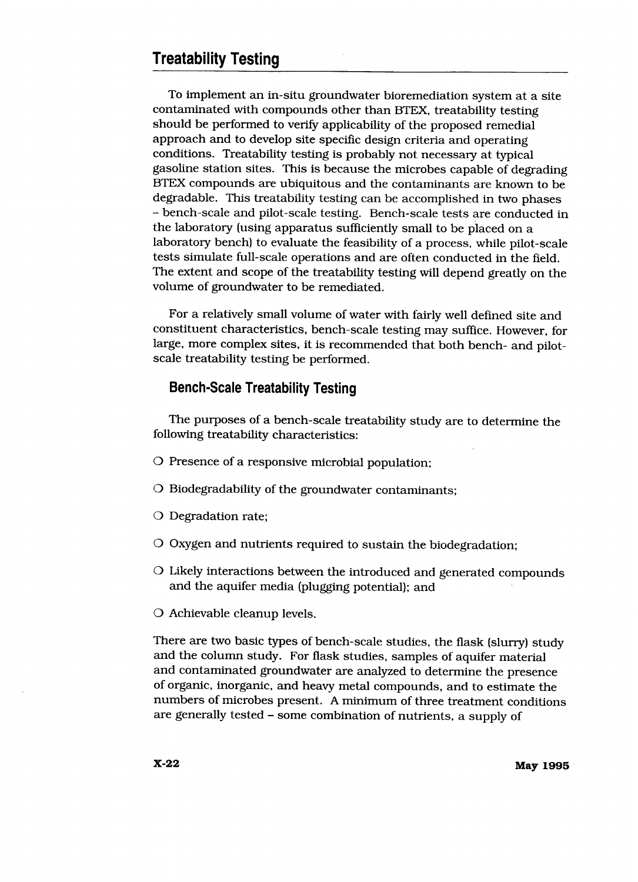To implement an in-situ groundwater bioremediation system at a site contaminated with compounds other than BTEX, treatability testing should be performed to verify applicability of the proposed remedial approach and to develop site specific design criteria and operating conditions. Treatability testing is probably not necessary at typical gasoline station sites. This is because the microbes capable of degrading BTEX compounds are ubiquitous and the contaminants are known to be degradable. This treatability testing can be accomplished in two phases - bench-scale and pilot-scale testing. Bench-scale tests are conducted in the laboratory (using apparatus sufficiently small to be placed on a laboratory bench) to evaluate the feasibility of a process, while pilot-scale tests simulate full-scale operations and are often conducted in the field. The extent and scope of the treatability testing will depend greatly on the volume of groundwater to be remediated.

For a relatively small volume of water with fairly well defined site and constituent characteristics, bench-scale testing may suffice. However, for large, more complex sites, it is recommended that both bench- and pilotscale treatability testing be performed.

## **Bench-Scale Treatability Testing**

The purposes of a bench-scale treatability study are to determine the following treatability characteristics:

- O Presence of a responsive microbial population;
- O Biodegradability of the groundwater contaminants;
- O Degradation rate;
- O Oxygen and nutrients required to sustain the biodegradation;
- O Likely interactions between the introduced and generated compounds and the aquifer media (plugging potential); and
- O Achievable cleanup levels.

There are two basic types of bench-scale studies, the flask (slurry) study and the column study. For flask studies, samples of aquifer material and contaminated groundwater are analyzed to determine the presence of organic, inorganic, and heavy metal compounds, and to estimate the numbers of microbes present. A minimum of three treatment conditions are generally tested - some combination of nutrients, a supply of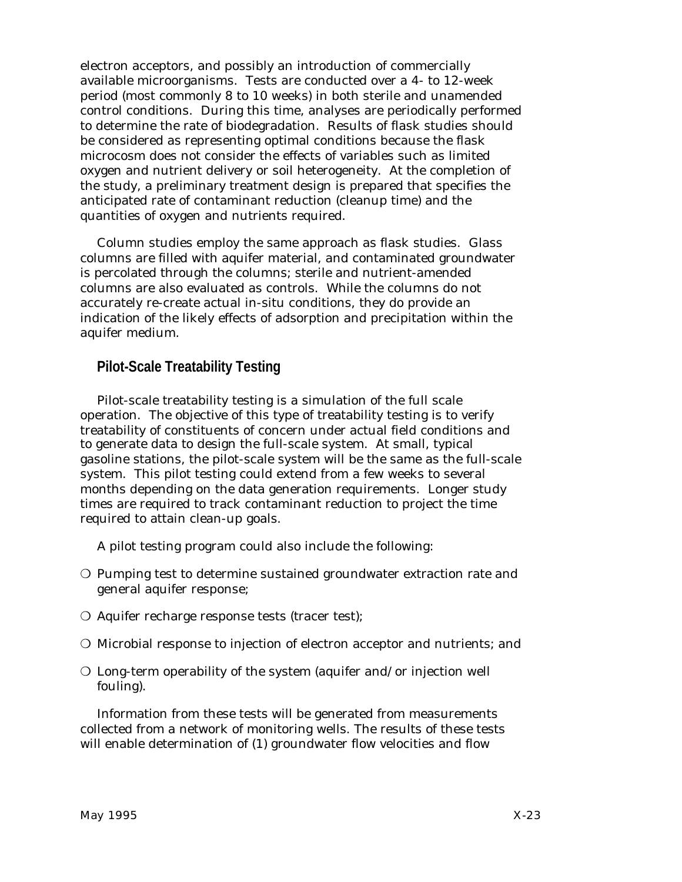electron acceptors, and possibly an introduction of commercially available microorganisms. Tests are conducted over a 4- to 12-week period (most commonly 8 to 10 weeks) in both sterile and unamended control conditions. During this time, analyses are periodically performed to determine the rate of biodegradation. Results of flask studies should be considered as representing optimal conditions because the flask microcosm does not consider the effects of variables such as limited oxygen and nutrient delivery or soil heterogeneity. At the completion of the study, a preliminary treatment design is prepared that specifies the anticipated rate of contaminant reduction (cleanup time) and the quantities of oxygen and nutrients required.

Column studies employ the same approach as flask studies. Glass columns are filled with aquifer material, and contaminated groundwater is percolated through the columns; sterile and nutrient-amended columns are also evaluated as controls. While the columns do not accurately re-create actual in-situ conditions, they do provide an indication of the likely effects of adsorption and precipitation within the aquifer medium.

## **Pilot-Scale Treatability Testing**

Pilot-scale treatability testing is a simulation of the full scale operation. The objective of this type of treatability testing is to verify treatability of constituents of concern under actual field conditions and to generate data to design the full-scale system. At small, typical gasoline stations, the pilot-scale system will be the same as the full-scale system. This pilot testing could extend from a few weeks to several months depending on the data generation requirements. Longer study times are required to track contaminant reduction to project the time required to attain clean-up goals.

A pilot testing program could also include the following:

- $\bigcirc$  Pumping test to determine sustained groundwater extraction rate and general aquifer response;
- $\bigcirc$  Aquifer recharge response tests (tracer test);
- $\bigcirc$  Microbial response to injection of electron acceptor and nutrients; and
- $\overline{O}$  Long-term operability of the system (aquifer and/or injection well fouling).

Information from these tests will be generated from measurements collected from a network of monitoring wells. The results of these tests will enable determination of (1) groundwater flow velocities and flow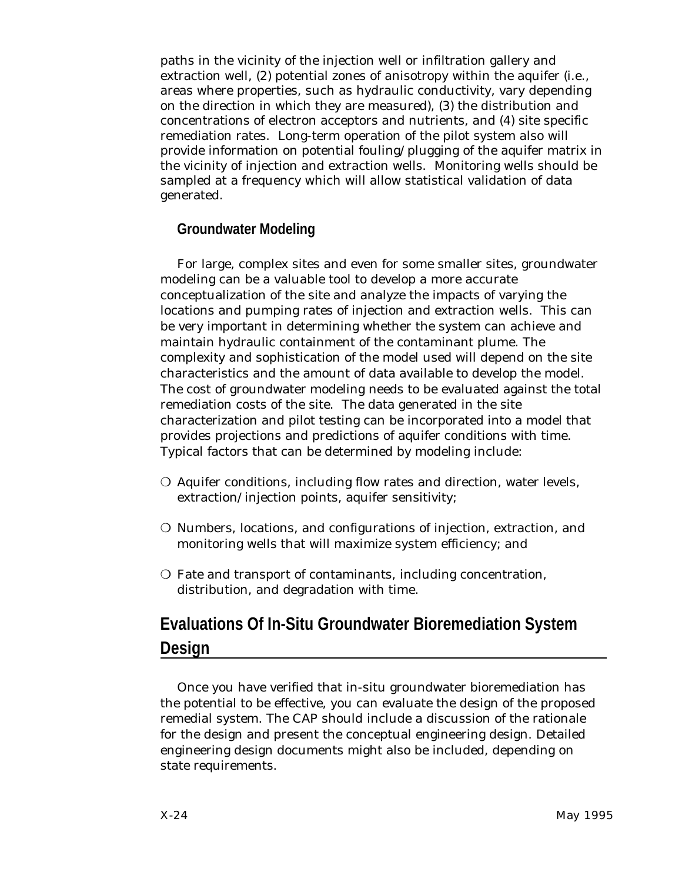<span id="page-27-0"></span>paths in the vicinity of the injection well or infiltration gallery and extraction well, (2) potential zones of anisotropy within the aquifer (i.e., areas where properties, such as hydraulic conductivity, vary depending on the direction in which they are measured), (3) the distribution and concentrations of electron acceptors and nutrients, and (4) site specific remediation rates. Long-term operation of the pilot system also will provide information on potential fouling/plugging of the aquifer matrix in the vicinity of injection and extraction wells. Monitoring wells should be sampled at a frequency which will allow statistical validation of data generated.

## **Groundwater Modeling**

For large, complex sites and even for some smaller sites, groundwater modeling can be a valuable tool to develop a more accurate conceptualization of the site and analyze the impacts of varying the locations and pumping rates of injection and extraction wells. This can be very important in determining whether the system can achieve and maintain hydraulic containment of the contaminant plume. The complexity and sophistication of the model used will depend on the site characteristics and the amount of data available to develop the model. The cost of groundwater modeling needs to be evaluated against the total remediation costs of the site. The data generated in the site characterization and pilot testing can be incorporated into a model that provides projections and predictions of aquifer conditions with time. Typical factors that can be determined by modeling include:

- $\bigcirc$  Aquifer conditions, including flow rates and direction, water levels, extraction/injection points, aquifer sensitivity;
- $\overline{O}$  Numbers, locations, and configurations of injection, extraction, and monitoring wells that will maximize system efficiency; and
- $\bigcirc$  Fate and transport of contaminants, including concentration, distribution, and degradation with time.

## **Evaluations Of In-Situ Groundwater Bioremediation System Design**

Once you have verified that in-situ groundwater bioremediation has the potential to be effective, you can evaluate the design of the proposed remedial system. The CAP should include a discussion of the rationale for the design and present the conceptual engineering design. Detailed engineering design documents might also be included, depending on state requirements.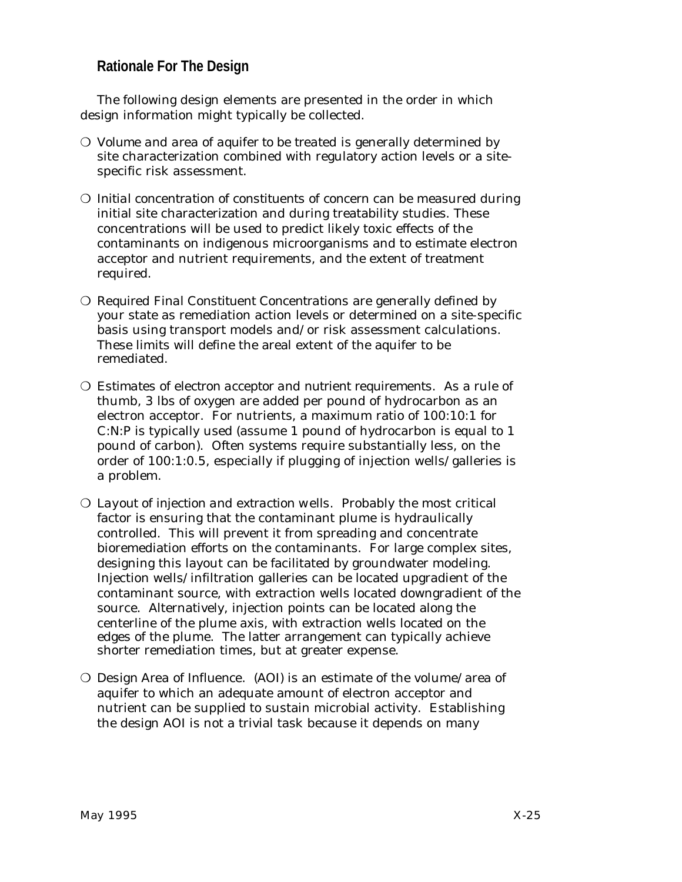## **Rationale For The Design**

The following design elements are presented in the order in which design information might typically be collected.

- $\overline{O}$  *Volume and area of aquifer to be treated* is generally determined by site characterization combined with regulatory action levels or a sitespecific risk assessment.
- $\bigcirc$  *Initial concentration of constituents of concern* can be measured during initial site characterization and during treatability studies. These concentrations will be used to predict likely toxic effects of the contaminants on indigenous microorganisms and to estimate electron acceptor and nutrient requirements, and the extent of treatment required.
- **O** Required Final Constituent Concentrations are generally defined by your state as remediation action levels or determined on a site-specific basis using transport models and/or risk assessment calculations. These limits will define the areal extent of the aquifer to be remediated.
- $\bigcirc$  *Estimates of electron acceptor and nutrient requirements. As a rule of* thumb, 3 lbs of oxygen are added per pound of hydrocarbon as an electron acceptor. For nutrients, a maximum ratio of 100:10:1 for C:N:P is typically used (assume 1 pound of hydrocarbon is equal to 1 pound of carbon). Often systems require substantially less, on the order of 100:1:0.5, especially if plugging of injection wells/galleries is a problem.
- � *Layout of injection and extraction wells*. Probably the most critical factor is ensuring that the contaminant plume is hydraulically controlled. This will prevent it from spreading and concentrate bioremediation efforts on the contaminants. For large complex sites, designing this layout can be facilitated by groundwater modeling. Injection wells/infiltration galleries can be located upgradient of the contaminant source, with extraction wells located downgradient of the source. Alternatively, injection points can be located along the centerline of the plume axis, with extraction wells located on the edges of the plume. The latter arrangement can typically achieve shorter remediation times, but at greater expense.
- � *Design Area of Influence*. (AOI) is an estimate of the volume/area of aquifer to which an adequate amount of electron acceptor and nutrient can be supplied to sustain microbial activity. Establishing the design AOI is not a trivial task because it depends on many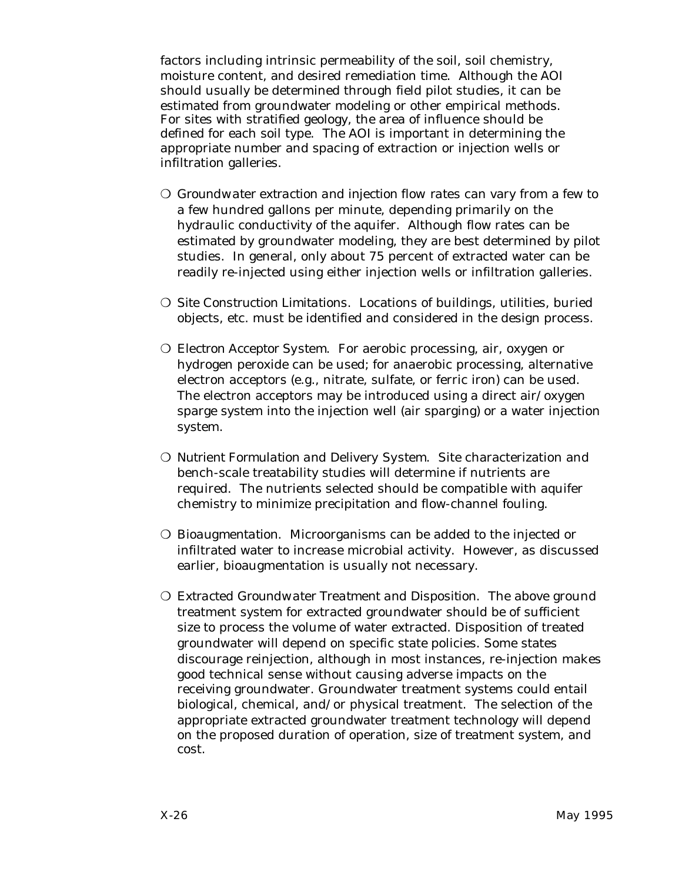factors including intrinsic permeability of the soil, soil chemistry, moisture content, and desired remediation time. Although the AOI should usually be determined through field pilot studies, it can be estimated from groundwater modeling or other empirical methods. For sites with stratified geology, the area of influence should be defined for each soil type. The AOI is important in determining the appropriate number and spacing of extraction or injection wells or infiltration galleries.

- � *Groundwater extraction and injection flow rates* can vary from a few to a few hundred gallons per minute, depending primarily on the hydraulic conductivity of the aquifer. Although flow rates can be estimated by groundwater modeling, they are best determined by pilot studies. In general, only about 75 percent of extracted water can be readily re-injected using either injection wells or infiltration galleries.
- $\overline{O}$  *Site Construction Limitations.* Locations of buildings, utilities, buried objects, etc. must be identified and considered in the design process.
- *O* Electron Acceptor System. For aerobic processing, air, oxygen or hydrogen peroxide can be used; for anaerobic processing, alternative electron acceptors (e.g., nitrate, sulfate, or ferric iron) can be used. The electron acceptors may be introduced using a direct air/oxygen sparge system into the injection well (air sparging) or a water injection system.
- � *Nutrient Formulation and Delivery System*. Site characterization and bench-scale treatability studies will determine if nutrients are required. The nutrients selected should be compatible with aquifer chemistry to minimize precipitation and flow-channel fouling.
- *O* Bioaugmentation. Microorganisms can be added to the injected or infiltrated water to increase microbial activity. However, as discussed earlier, bioaugmentation is usually not necessary.
- $\bigcirc$  *Extracted Groundwater Treatment and Disposition*. The above ground treatment system for extracted groundwater should be of sufficient size to process the volume of water extracted. Disposition of treated groundwater will depend on specific state policies. Some states discourage reinjection, although in most instances, re-injection makes good technical sense without causing adverse impacts on the receiving groundwater. Groundwater treatment systems could entail biological, chemical, and/or physical treatment. The selection of the appropriate extracted groundwater treatment technology will depend on the proposed duration of operation, size of treatment system, and cost.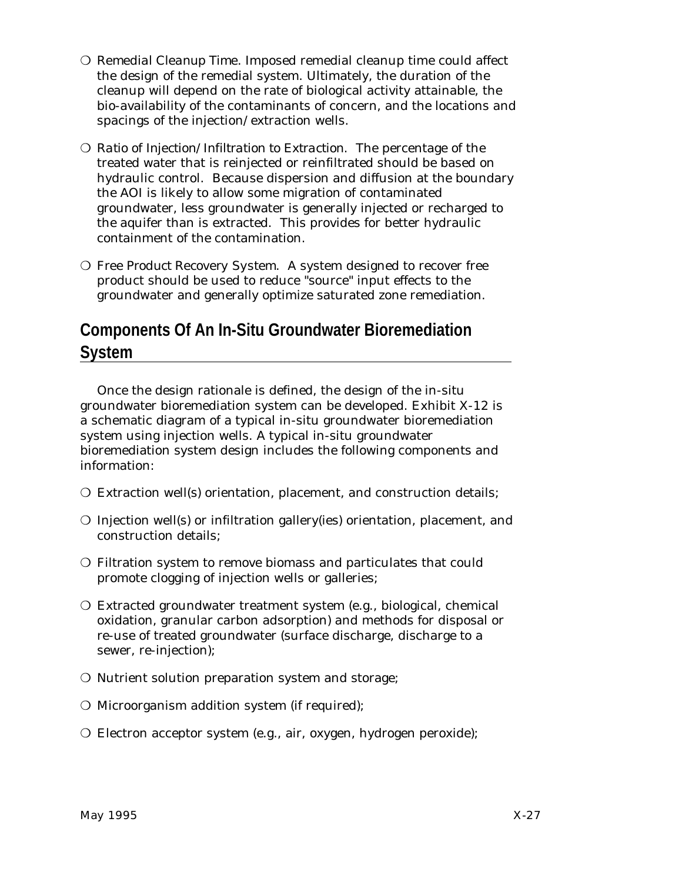- $\bigcirc$  *Remedial Cleanup Time.* Imposed remedial cleanup time could affect the design of the remedial system. Ultimately, the duration of the cleanup will depend on the rate of biological activity attainable, the bio-availability of the contaminants of concern, and the locations and spacings of the injection/extraction wells.
- $\overline{O}$  *Ratio of Injection/Infiltration to Extraction*. The percentage of the treated water that is reinjected or reinfiltrated should be based on hydraulic control. Because dispersion and diffusion at the boundary the AOI is likely to allow some migration of contaminated groundwater, less groundwater is generally injected or recharged to the aquifer than is extracted. This provides for better hydraulic containment of the contamination.
- $\bigcirc$  *Free Product Recovery System.* A system designed to recover free product should be used to reduce "source" input effects to the groundwater and generally optimize saturated zone remediation.

## **Components Of An In-Situ Groundwater Bioremediation System**

Once the design rationale is defined, the design of the in-situ groundwater bioremediation system can be developed. Exhibit X-12 is a schematic diagram of a typical in-situ groundwater bioremediation system using injection wells. A typical in-situ groundwater bioremediation system design includes the following components and information:

- $\bigcirc$  Extraction well(s) orientation, placement, and construction details;
- $\bigcirc$  Injection well(s) or infiltration gallery(ies) orientation, placement, and construction details;
- $\bigcirc$  Filtration system to remove biomass and particulates that could promote clogging of injection wells or galleries;
- $\bigcirc$  Extracted groundwater treatment system (e.g., biological, chemical oxidation, granular carbon adsorption) and methods for disposal or re-use of treated groundwater (surface discharge, discharge to a sewer, re-injection);
- $\bigcirc$  Nutrient solution preparation system and storage;
- $\bigcirc$  Microorganism addition system (if required);
- $\bigcirc$  Electron acceptor system (e.g., air, oxygen, hydrogen peroxide);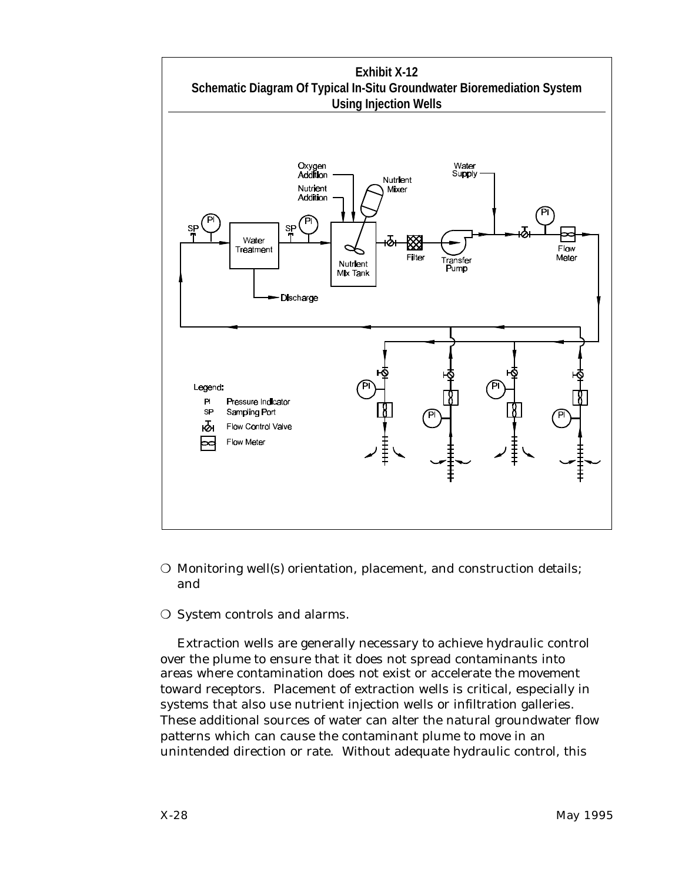<span id="page-31-0"></span>

- $\bigcirc$  Monitoring well(s) orientation, placement, and construction details; and
- $\bigcirc$  System controls and alarms.

Extraction wells are generally necessary to achieve hydraulic control over the plume to ensure that it does not spread contaminants into areas where contamination does not exist or accelerate the movement toward receptors. Placement of extraction wells is critical, especially in systems that also use nutrient injection wells or infiltration galleries. These additional sources of water can alter the natural groundwater flow patterns which can cause the contaminant plume to move in an unintended direction or rate. Without adequate hydraulic control, this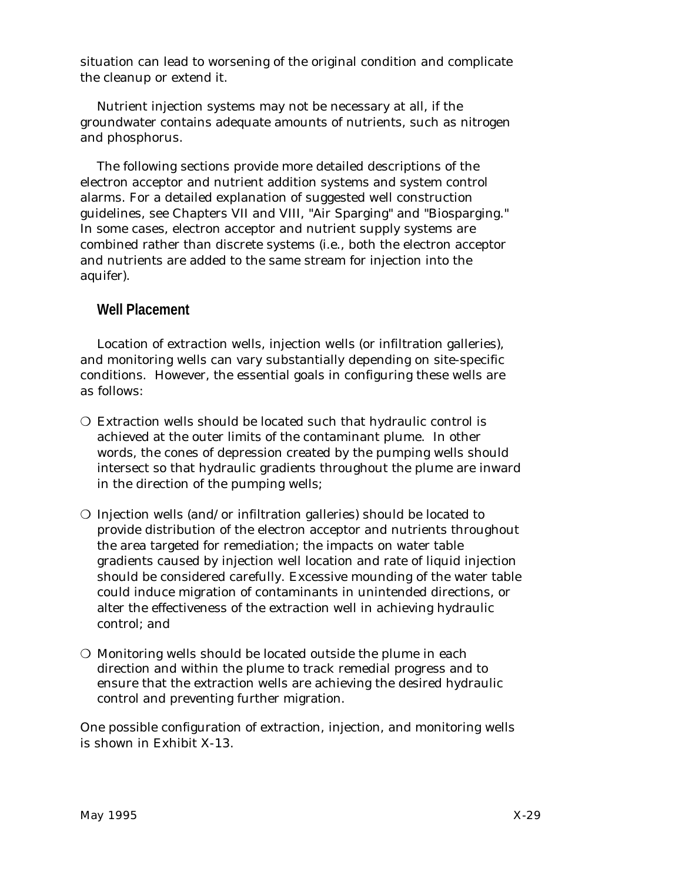situation can lead to worsening of the original condition and complicate the cleanup or extend it.

Nutrient injection systems may not be necessary at all, if the groundwater contains adequate amounts of nutrients, such as nitrogen and phosphorus.

The following sections provide more detailed descriptions of the electron acceptor and nutrient addition systems and system control alarms. For a detailed explanation of suggested well construction guidelines, see Chapters VII and VIII, "Air Sparging" and "Biosparging." In some cases, electron acceptor and nutrient supply systems are combined rather than discrete systems (i.e., both the electron acceptor and nutrients are added to the same stream for injection into the aquifer).

## **Well Placement**

Location of extraction wells, injection wells (or infiltration galleries), and monitoring wells can vary substantially depending on site-specific conditions. However, the essential goals in configuring these wells are as follows:

- $\bigcirc$  Extraction wells should be located such that hydraulic control is achieved at the outer limits of the contaminant plume. In other words, the cones of depression created by the pumping wells should intersect so that hydraulic gradients throughout the plume are inward in the direction of the pumping wells;
- $\bigcirc$  Injection wells (and/or infiltration galleries) should be located to provide distribution of the electron acceptor and nutrients throughout the area targeted for remediation; the impacts on water table gradients caused by injection well location and rate of liquid injection should be considered carefully. Excessive mounding of the water table could induce migration of contaminants in unintended directions, or alter the effectiveness of the extraction well in achieving hydraulic control; and
- $\bigcirc$  Monitoring wells should be located outside the plume in each direction and within the plume to track remedial progress and to ensure that the extraction wells are achieving the desired hydraulic control and preventing further migration.

One possible configuration of extraction, injection, and monitoring wells is shown in Exhibit X-13.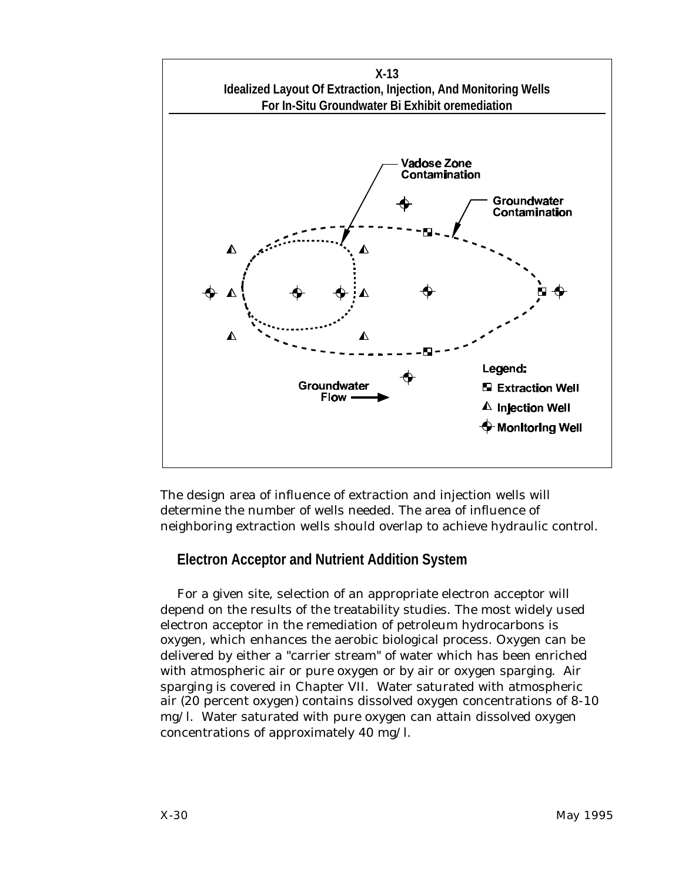<span id="page-33-0"></span>

The design area of influence of extraction and injection wells will determine the number of wells needed. The area of influence of neighboring extraction wells should overlap to achieve hydraulic control.

## **Electron Acceptor and Nutrient Addition System**

For a given site, selection of an appropriate electron acceptor will depend on the results of the treatability studies. The most widely used electron acceptor in the remediation of petroleum hydrocarbons is oxygen, which enhances the aerobic biological process. Oxygen can be delivered by either a "carrier stream" of water which has been enriched with atmospheric air or pure oxygen or by air or oxygen sparging. Air sparging is covered in Chapter VII. Water saturated with atmospheric air (20 percent oxygen) contains dissolved oxygen concentrations of 8-10 mg/l. Water saturated with pure oxygen can attain dissolved oxygen concentrations of approximately 40 mg/l.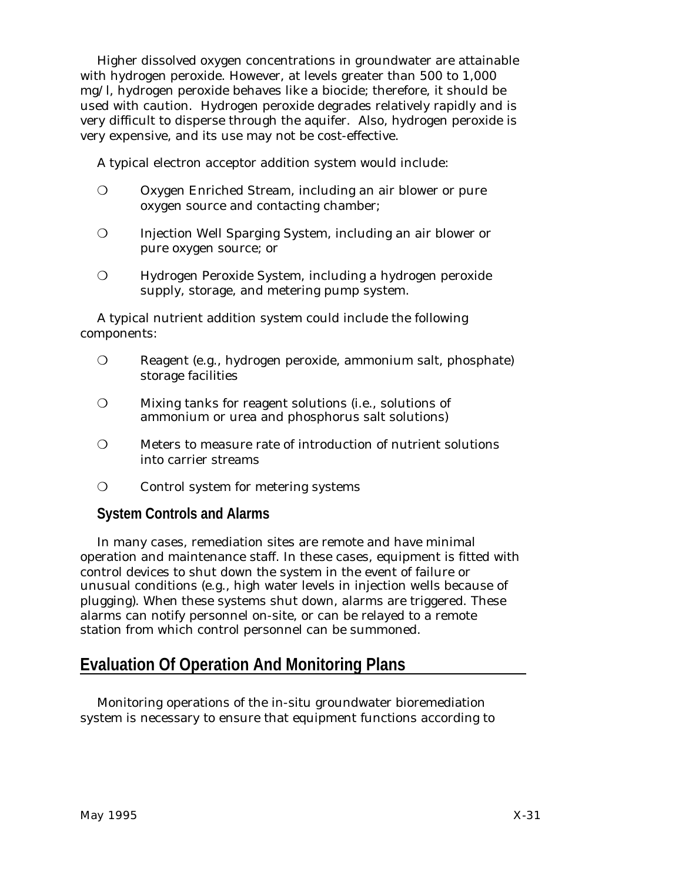Higher dissolved oxygen concentrations in groundwater are attainable with hydrogen peroxide. However, at levels greater than 500 to 1,000 mg/l, hydrogen peroxide behaves like a biocide; therefore, it should be used with caution. Hydrogen peroxide degrades relatively rapidly and is very difficult to disperse through the aquifer. Also, hydrogen peroxide is very expensive, and its use may not be cost-effective.

A typical electron acceptor addition system would include:

- **O** Oxygen Enriched Stream, including an air blower or pure oxygen source and contacting chamber;
- O Injection Well Sparging System, including an air blower or pure oxygen source; or
- $\bigcirc$  Hydrogen Peroxide System, including a hydrogen peroxide supply, storage, and metering pump system.

A typical nutrient addition system could include the following components:

- $\bigcirc$  Reagent (e.g., hydrogen peroxide, ammonium salt, phosphate) storage facilities
- $\bigcirc$  Mixing tanks for reagent solutions (i.e., solutions of ammonium or urea and phosphorus salt solutions)
- $\bigcirc$  Meters to measure rate of introduction of nutrient solutions into carrier streams
- $\bigcirc$  Control system for metering systems

## **System Controls and Alarms**

In many cases, remediation sites are remote and have minimal operation and maintenance staff. In these cases, equipment is fitted with control devices to shut down the system in the event of failure or unusual conditions (e.g., high water levels in injection wells because of plugging). When these systems shut down, alarms are triggered. These alarms can notify personnel on-site, or can be relayed to a remote station from which control personnel can be summoned.

## **Evaluation Of Operation And Monitoring Plans**

Monitoring operations of the in-situ groundwater bioremediation system is necessary to ensure that equipment functions according to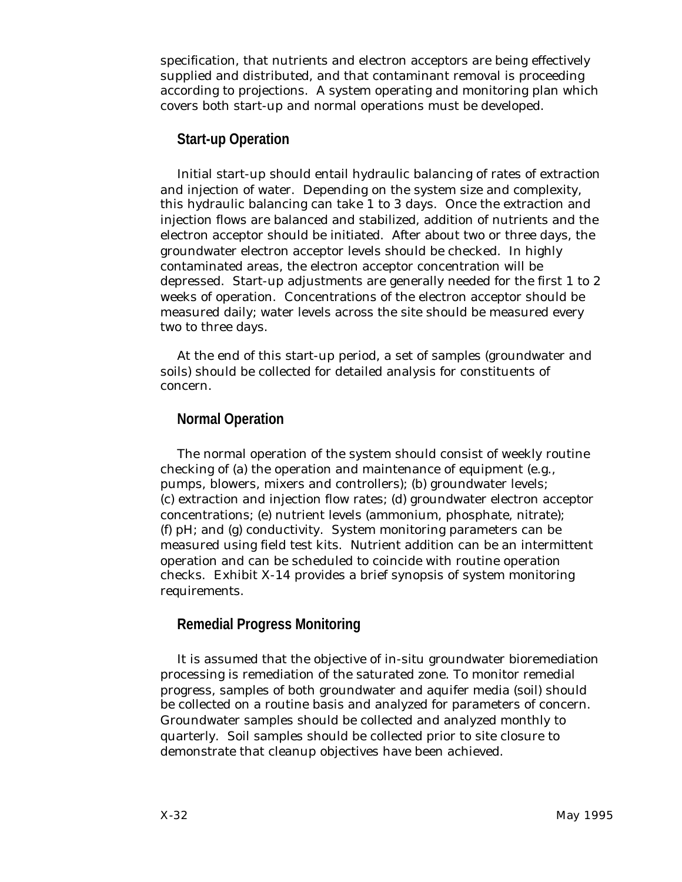<span id="page-35-0"></span>specification, that nutrients and electron acceptors are being effectively supplied and distributed, and that contaminant removal is proceeding according to projections. A system operating and monitoring plan which covers both start-up and normal operations must be developed.

## **Start-up Operation**

Initial start-up should entail hydraulic balancing of rates of extraction and injection of water. Depending on the system size and complexity, this hydraulic balancing can take 1 to 3 days. Once the extraction and injection flows are balanced and stabilized, addition of nutrients and the electron acceptor should be initiated. After about two or three days, the groundwater electron acceptor levels should be checked. In highly contaminated areas, the electron acceptor concentration will be depressed. Start-up adjustments are generally needed for the first 1 to 2 weeks of operation. Concentrations of the electron acceptor should be measured daily; water levels across the site should be measured every two to three days.

At the end of this start-up period, a set of samples (groundwater and soils) should be collected for detailed analysis for constituents of concern.

## **Normal Operation**

The normal operation of the system should consist of weekly routine checking of (a) the operation and maintenance of equipment (e.g., pumps, blowers, mixers and controllers); (b) groundwater levels; (c) extraction and injection flow rates; (d) groundwater electron acceptor concentrations; (e) nutrient levels (ammonium, phosphate, nitrate); (f) pH; and (g) conductivity. System monitoring parameters can be measured using field test kits. Nutrient addition can be an intermittent operation and can be scheduled to coincide with routine operation checks. Exhibit X-14 provides a brief synopsis of system monitoring requirements.

## **Remedial Progress Monitoring**

It is assumed that the objective of in-situ groundwater bioremediation processing is remediation of the saturated zone. To monitor remedial progress, samples of both groundwater and aquifer media (soil) should be collected on a routine basis and analyzed for parameters of concern. Groundwater samples should be collected and analyzed monthly to quarterly. Soil samples should be collected prior to site closure to demonstrate that cleanup objectives have been achieved.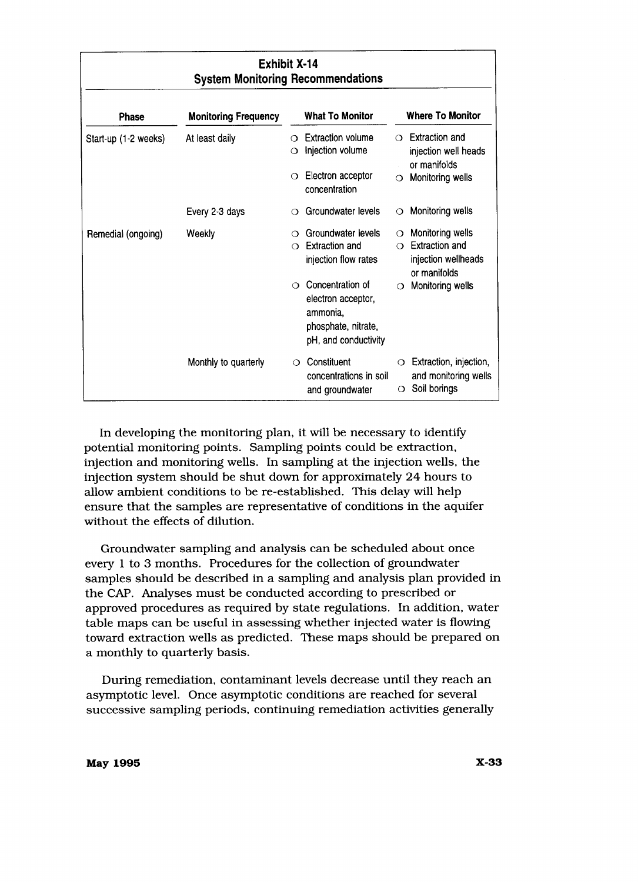| <b>Exhibit X-14</b><br><b>System Monitoring Recommendations</b> |                             |               |                                                                                                   |                      |                                                                                  |
|-----------------------------------------------------------------|-----------------------------|---------------|---------------------------------------------------------------------------------------------------|----------------------|----------------------------------------------------------------------------------|
| Phase                                                           | <b>Monitoring Frequency</b> |               | <b>What To Monitor</b>                                                                            |                      | <b>Where To Monitor</b>                                                          |
| Start-up (1-2 weeks)                                            | At least daily              | ∩<br>∩        | <b>Extraction volume</b><br>Injection volume                                                      | ∩                    | <b>Extraction and</b><br>injection well heads<br>or manifolds                    |
|                                                                 |                             | ∩             | Electron acceptor<br>concentration                                                                | $\Omega$             | Monitoring wells                                                                 |
|                                                                 | Every 2-3 days              |               | Groundwater levels                                                                                | $\Omega$             | Monitoring wells                                                                 |
| Remedial (ongoing)                                              | Weekly                      | ∩<br>$\Omega$ | Groundwater levels<br><b>Extraction and</b><br>injection flow rates                               | $\Omega$<br>$\Omega$ | Monitoring wells<br><b>Extraction and</b><br>injection wellheads<br>or manifolds |
|                                                                 |                             | $\Omega$      | Concentration of<br>electron acceptor,<br>ammonia.<br>phosphate, nitrate,<br>pH, and conductivity | $\Omega$             | Monitoring wells                                                                 |
|                                                                 | Monthly to quarterly        | ∩             | Constituent<br>concentrations in soil<br>and groundwater                                          | $\Omega$<br>$\circ$  | Extraction, injection,<br>and monitoring wells<br>Soil borings                   |

In developing the monitoring plan, it will be necessary to identify potential monitoring points. Sampling points could be extraction, injection and monitoring wells. In sampling at the injection wells, the injection system should be shut down for approximately 24 hours to allow ambient conditions to be re-established. This delay will help ensure that the samples are representative of conditions in the aquifer without the effects of dilution.

Groundwater sampling and analysis can be scheduled about once every 1 to 3 months. Procedures for the collection of groundwater samples should be described in a sampling and analysis plan provided in the CAP. Analyses must be conducted according to prescribed or approved procedures as required by state regulations. In addition, water table maps can be useful in assessing whether injected water is flowing toward extraction wells as predicted. These maps should be prepared on a monthly to quarterly basis.

During remediation, contaminant levels decrease until they reach an asymptotic level. Once asymptotic conditions are reached for several successive sampling periods, continuing remediation activities generally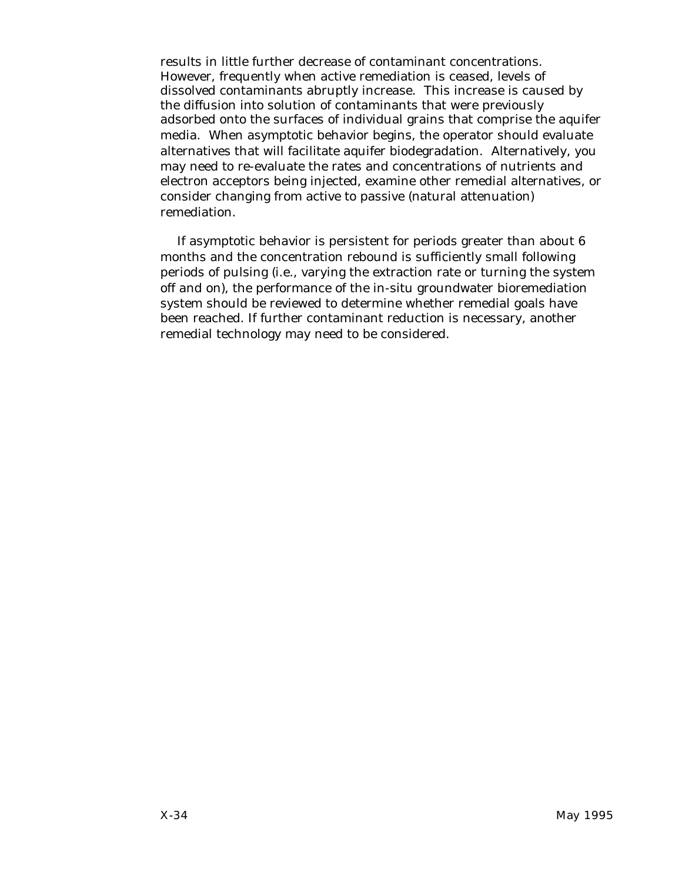results in little further decrease of contaminant concentrations. However, frequently when active remediation is ceased, levels of dissolved contaminants abruptly increase. This increase is caused by the diffusion into solution of contaminants that were previously adsorbed onto the surfaces of individual grains that comprise the aquifer media. When asymptotic behavior begins, the operator should evaluate alternatives that will facilitate aquifer biodegradation. Alternatively, you may need to re-evaluate the rates and concentrations of nutrients and electron acceptors being injected, examine other remedial alternatives, or consider changing from active to passive (natural attenuation) remediation.

If asymptotic behavior is persistent for periods greater than about 6 months and the concentration rebound is sufficiently small following periods of pulsing (i.e., varying the extraction rate or turning the system off and on), the performance of the in-situ groundwater bioremediation system should be reviewed to determine whether remedial goals have been reached. If further contaminant reduction is necessary, another remedial technology may need to be considered.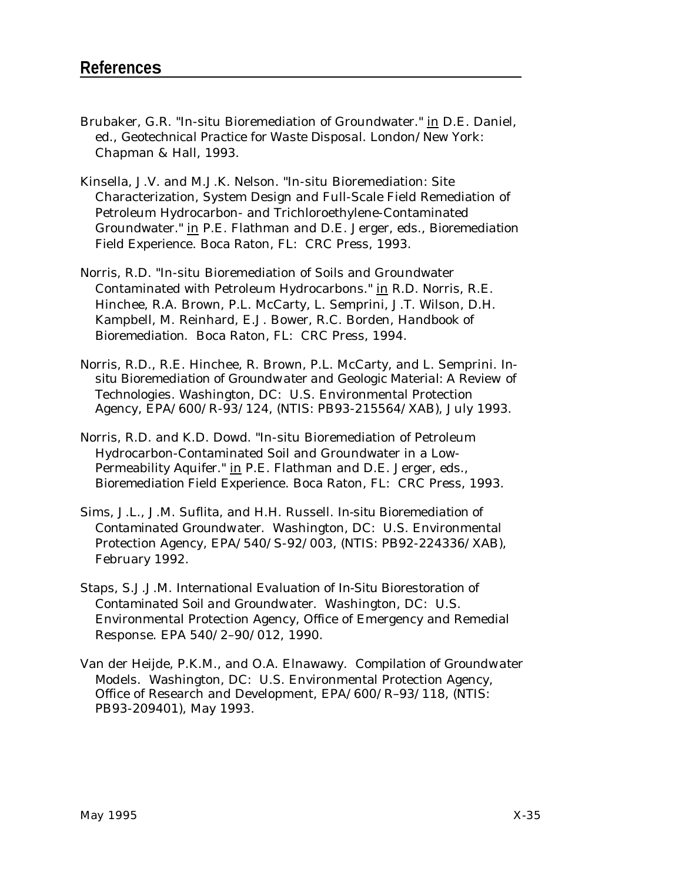- Brubaker, G.R. "In-situ Bioremediation of Groundwater." in D.E. Daniel, ed., *Geotechnical Practice for Waste Disposal*. London/New York: Chapman & Hall, 1993.
- Kinsella, J.V. and M.J.K. Nelson. "In-situ Bioremediation: Site Characterization, System Design and Full-Scale Field Remediation of Petroleum Hydrocarbon- and Trichloroethylene-Contaminated Groundwater." in P.E. Flathman and D.E. Jerger, eds., *Bioremediation Field Experience*. Boca Raton, FL: CRC Press, 1993.
- Norris, R.D. "In-situ Bioremediation of Soils and Groundwater Contaminated with Petroleum Hydrocarbons." in R.D. Norris, R.E. Hinchee, R.A. Brown, P.L. McCarty, L. Semprini, J.T. Wilson, D.H. Kampbell, M. Reinhard, E.J. Bower, R.C. Borden, *Handbook of Bioremediation*. Boca Raton, FL: CRC Press, 1994.
- Norris, R.D., R.E. Hinchee, R. Brown, P.L. McCarty, and L. Semprini. *Insitu Bioremediation of Groundwater and Geologic Material: A Review of Technologies*. Washington, DC: U.S. Environmental Protection Agency, EPA/600/R-93/124, (NTIS: PB93-215564/XAB), July 1993.
- Norris, R.D. and K.D. Dowd. "In-situ Bioremediation of Petroleum Hydrocarbon-Contaminated Soil and Groundwater in a Low-Permeability Aquifer." in P.E. Flathman and D.E. Jerger, eds., *Bioremediation Field Experience*. Boca Raton, FL: CRC Press, 1993.
- Sims, J.L., J.M. Suflita, and H.H. Russell. *In-situ Bioremediation of Contaminated Groundwater*. Washington, DC: U.S. Environmental Protection Agency, EPA/540/S-92/003, (NTIS: PB92-224336/XAB), February 1992.
- Staps, S.J.J.M. *International Evaluation of In-Situ Biorestoration of Contaminated Soil and Groundwater*. Washington, DC: U.S. Environmental Protection Agency, Office of Emergency and Remedial Response. EPA 540/2–90/012, 1990.
- Van der Heijde, P.K.M., and O.A. Elnawawy. *Compilation of Groundwater Models*. Washington, DC: U.S. Environmental Protection Agency, Office of Research and Development, EPA/600/R–93/118, (NTIS: PB93-209401), May 1993.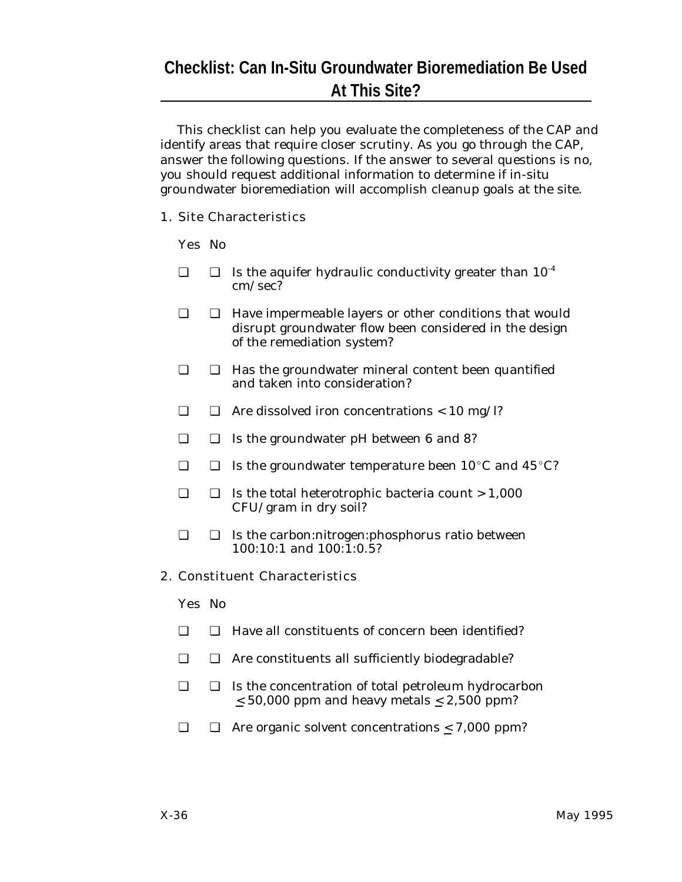### <span id="page-39-0"></span>**Checklist: Can In-Situ Groundwater Bioremediation Be Used At This Site?**

This checklist can help you evaluate the completeness of the CAP and identify areas that require closer scrutiny. As you go through the CAP, answer the following questions. If the answer to several questions is no, you should request additional information to determine if in-situ groundwater bioremediation will accomplish cleanup goals at the site.

## 1. Site Characteristics

## Yes No

- $\Box$   $\Box$  Is the aquifer hydraulic conductivity greater than 10<sup>-4</sup> cm/sec?
- $\Box$   $\Box$  Have impermeable layers or other conditions that would disrupt groundwater flow been considered in the design of the remediation system?
- $\Box$   $\Box$  Has the groundwater mineral content been quantified and taken into consideration?
- $\Box$   $\Box$  Are dissolved iron concentrations < 10 mg/l?
- $\Box$   $\Box$  Is the groundwater pH between 6 and 8?
- $\Box$   $\Box$  Is the groundwater temperature been 10°C and 45°C?
- $\Box$   $\Box$  Is the total heterotrophic bacteria count > 1,000 CFU/gram in dry soil?
- $\Box$   $\Box$  Is the carbon:nitrogen:phosphorus ratio between 100:10:1 and 100:1:0.5?

## 2. Constituent Characteristics

## Yes No

- $\Box$   $\Box$  Have all constituents of concern been identified?
- $\Box$   $\Box$  Are constituents all sufficiently biodegradable?
- $\Box$   $\Box$  Is the concentration of total petroleum hydrocarbon  $\leq$  50,000 ppm and heavy metals  $\leq$  2,500 ppm?
- $\Box$   $\Box$  Are organic solvent concentrations < 7,000 ppm?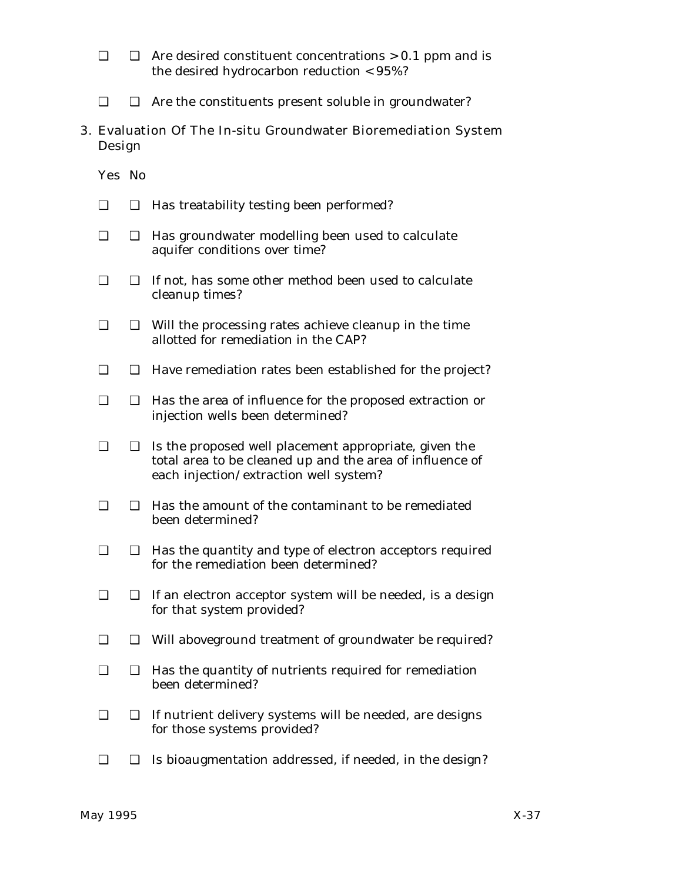- $\Box$   $\Box$  Are desired constituent concentrations > 0.1 ppm and is the desired hydrocarbon reduction < 95%?
- $\Box$   $\Box$  Are the constituents present soluble in groundwater?

## 3. Evaluation Of The In-situ Groundwater Bioremediation System Design

### Yes No

- $\Box$   $\Box$  Has treatability testing been performed?
- $\Box$   $\Box$  Has groundwater modelling been used to calculate aquifer conditions over time?
- $\Box$   $\Box$  If not, has some other method been used to calculate cleanup times?
- $\Box$   $\Box$  Will the processing rates achieve cleanup in the time allotted for remediation in the CAP?
- $\Box$   $\Box$  Have remediation rates been established for the project?
- $\Box$   $\Box$  Has the area of influence for the proposed extraction or injection wells been determined?
- $\Box$   $\Box$  Is the proposed well placement appropriate, given the total area to be cleaned up and the area of influence of each injection/extraction well system?
- $\Box$   $\Box$  Has the amount of the contaminant to be remediated been determined?
- $\Box$   $\Box$  Has the quantity and type of electron acceptors required for the remediation been determined?
- $\Box$   $\Box$  If an electron acceptor system will be needed, is a design for that system provided?
- $\Box$   $\Box$  Will aboveground treatment of groundwater be required?
- $\Box$   $\Box$  Has the quantity of nutrients required for remediation been determined?
- $\Box$   $\Box$  If nutrient delivery systems will be needed, are designs for those systems provided?
- $\Box$   $\Box$  Is bioaugmentation addressed, if needed, in the design?